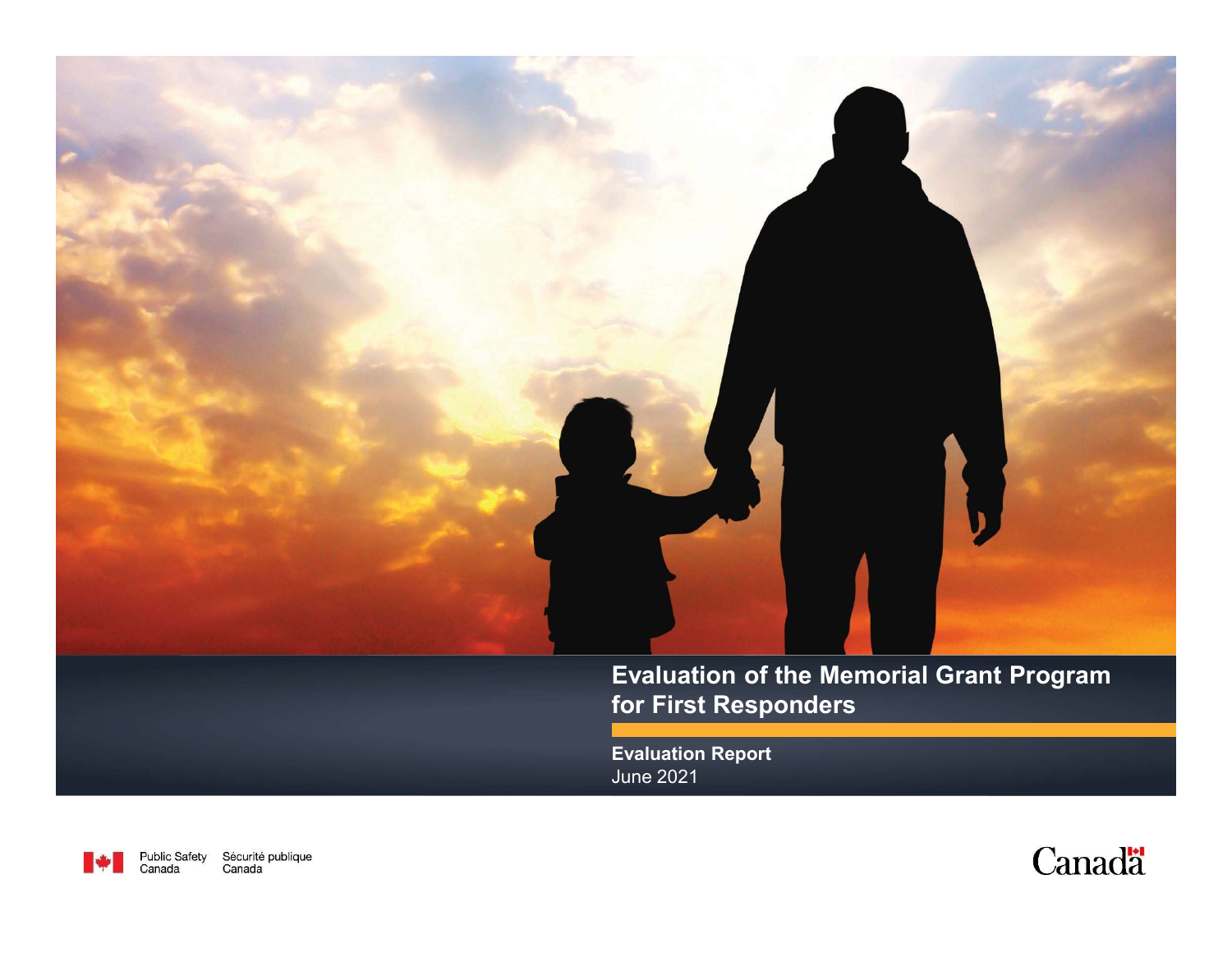

Evaluation Report June 2021



Public Safety Sécurité publique Canada Canada

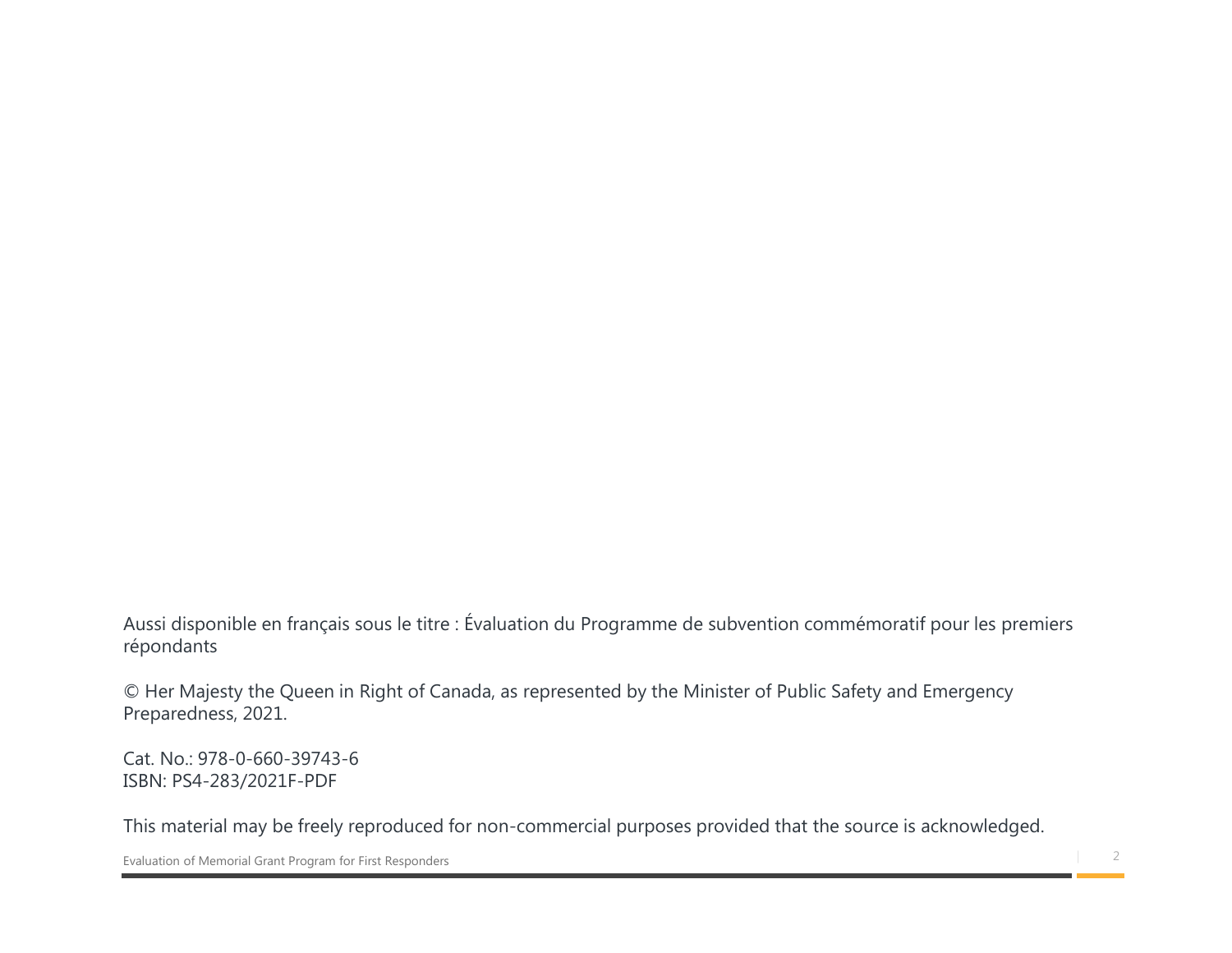Aussi disponible en français sous le titre : Évaluation du Programme de subvention commémoratif pour les premiers<br>répondants<br>© Her Majesty the Queen in Right of Canada, as represented by the Minister of Public Safety and E répondants Aussi disponible en français sous le titre : Évaluation du Programme de subvention commémoratif pour les premiers<br>C'herendants<br>C'herenardiales, 2021.<br>Cat. No.: 978-0-660-39743-6<br>Cat. No.: 978-0-660-39743-6<br>This material ma

© Her Majesty the Queen in Right of Canada, as represented by the Minister of Public Safety and Emergency Preparedness, 2021.

Cat. No.: 978-0-660-39743-6 ISBN: PS4-283/2021F-PDF

| 2 Evaluation of Memorial Grant Program for First Responders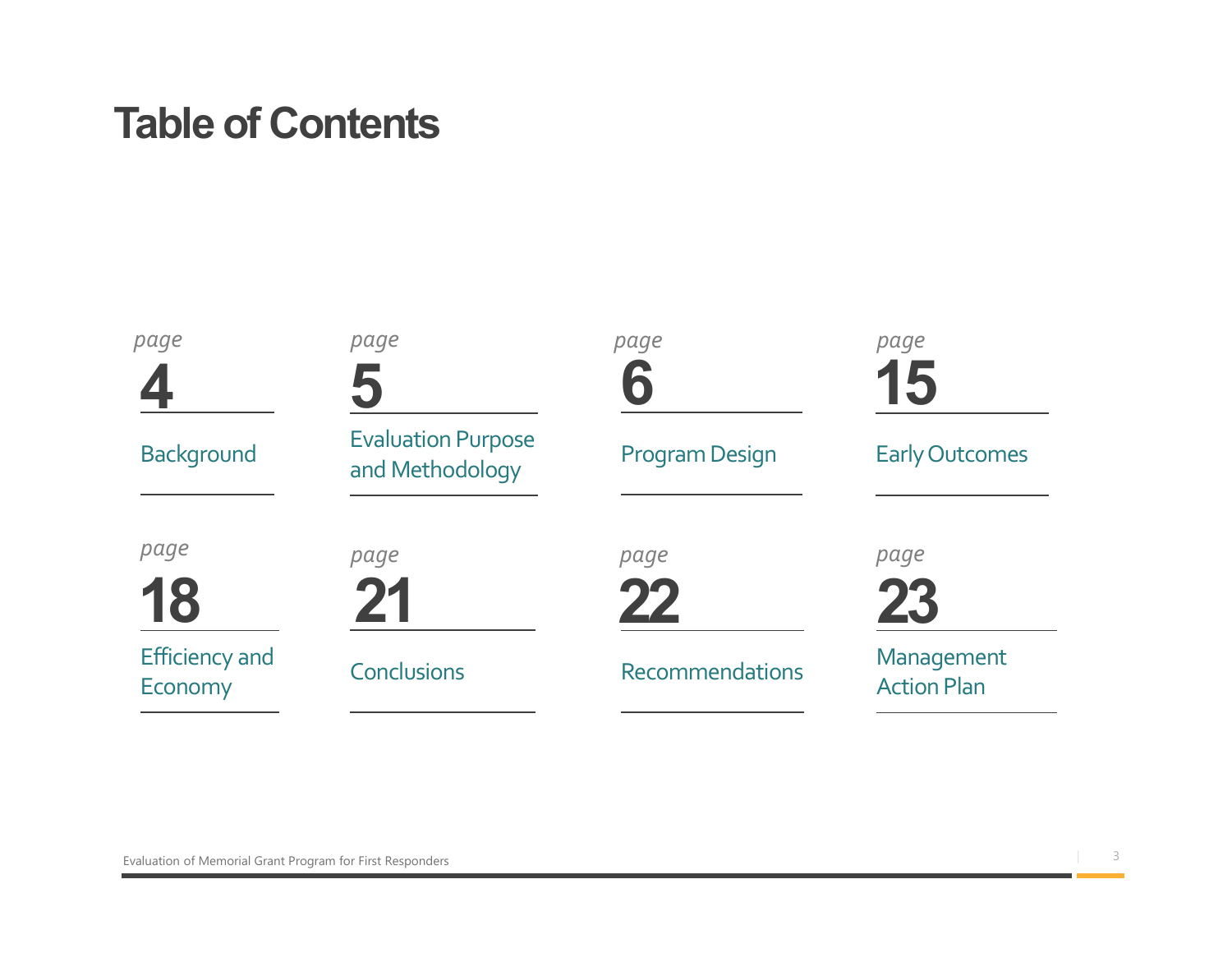## Table of Contents

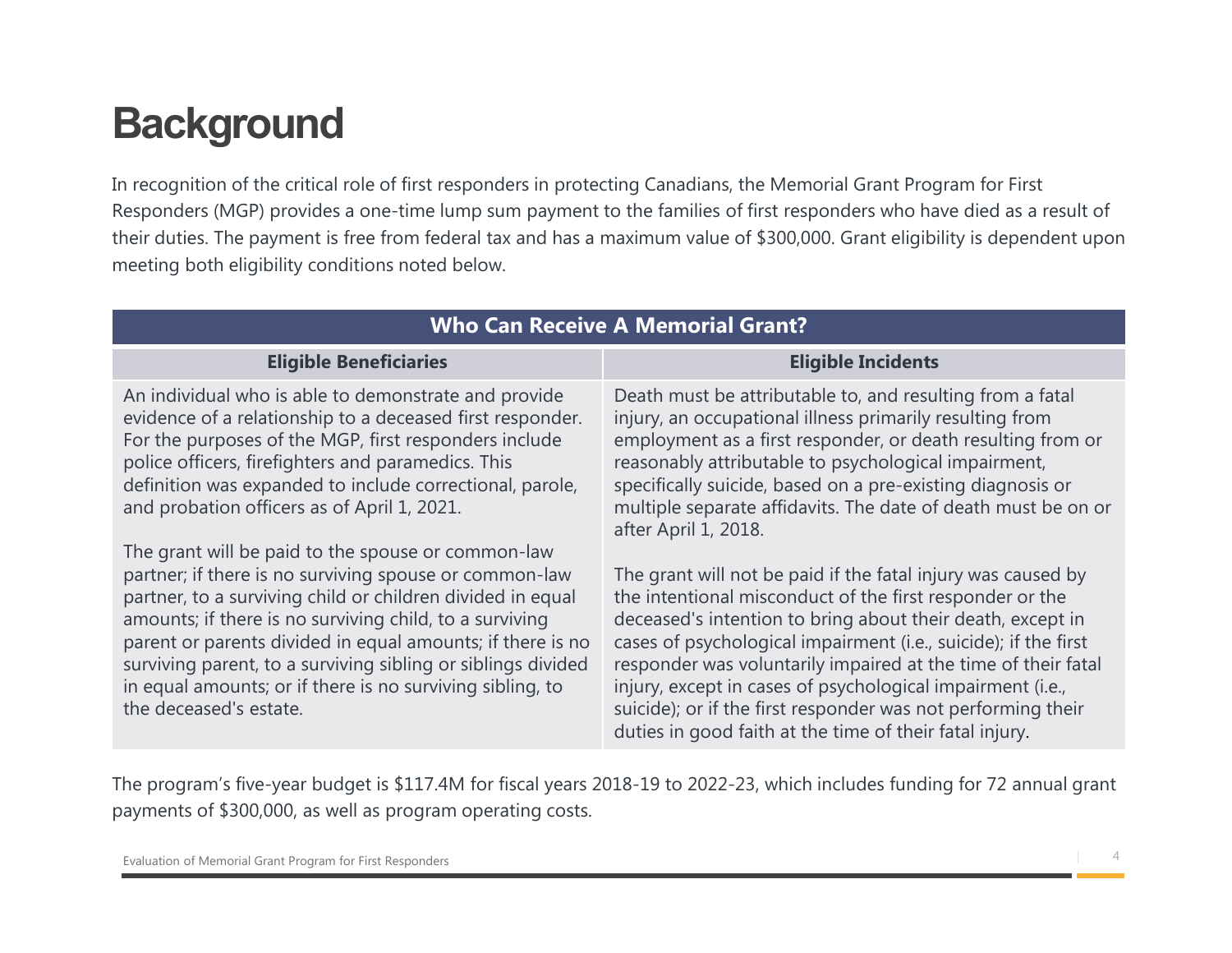## **Background**

In recognition of the critical role of first responders in protecting Canadians, the Memorial Grant Program for First Responders (MGP) provides a one-time lump sum payment to the families of first responders who have died as a result of **Examplement Acception**<br>
In recognition of the critical role of first responders in protecting Canadians, the Memorial Grant Program for First<br>
Responders (MGP) provides a one-time lump sum payment to the families of first meeting both eligibility conditions noted below.

| <b>Background</b><br>In recognition of the critical role of first responders in protecting Canadians, the Memorial Grant Program for First                                                                                                                                                                                                                                                                                                                 | Responders (MGP) provides a one-time lump sum payment to the families of first responders who have died as a result of                                                                                                                                                                                                                                                                                                                                                                                              |
|------------------------------------------------------------------------------------------------------------------------------------------------------------------------------------------------------------------------------------------------------------------------------------------------------------------------------------------------------------------------------------------------------------------------------------------------------------|---------------------------------------------------------------------------------------------------------------------------------------------------------------------------------------------------------------------------------------------------------------------------------------------------------------------------------------------------------------------------------------------------------------------------------------------------------------------------------------------------------------------|
| meeting both eligibility conditions noted below.                                                                                                                                                                                                                                                                                                                                                                                                           | their duties. The payment is free from federal tax and has a maximum value of \$300,000. Grant eligibility is dependent upon                                                                                                                                                                                                                                                                                                                                                                                        |
|                                                                                                                                                                                                                                                                                                                                                                                                                                                            | <b>Who Can Receive A Memorial Grant?</b>                                                                                                                                                                                                                                                                                                                                                                                                                                                                            |
| <b>Eligible Beneficiaries</b>                                                                                                                                                                                                                                                                                                                                                                                                                              | <b>Eligible Incidents</b>                                                                                                                                                                                                                                                                                                                                                                                                                                                                                           |
| An individual who is able to demonstrate and provide<br>evidence of a relationship to a deceased first responder.<br>For the purposes of the MGP, first responders include<br>police officers, firefighters and paramedics. This<br>definition was expanded to include correctional, parole,<br>and probation officers as of April 1, 2021.                                                                                                                | Death must be attributable to, and resulting from a fatal<br>injury, an occupational illness primarily resulting from<br>employment as a first responder, or death resulting from or<br>reasonably attributable to psychological impairment,<br>specifically suicide, based on a pre-existing diagnosis or<br>multiple separate affidavits. The date of death must be on or<br>after April 1, 2018.                                                                                                                 |
| The grant will be paid to the spouse or common-law<br>partner; if there is no surviving spouse or common-law<br>partner, to a surviving child or children divided in equal<br>amounts; if there is no surviving child, to a surviving<br>parent or parents divided in equal amounts; if there is no<br>surviving parent, to a surviving sibling or siblings divided<br>in equal amounts; or if there is no surviving sibling, to<br>the deceased's estate. | The grant will not be paid if the fatal injury was caused by<br>the intentional misconduct of the first responder or the<br>deceased's intention to bring about their death, except in<br>cases of psychological impairment (i.e., suicide); if the first<br>responder was voluntarily impaired at the time of their fatal<br>injury, except in cases of psychological impairment (i.e.,<br>suicide); or if the first responder was not performing their<br>duties in good faith at the time of their fatal injury. |
|                                                                                                                                                                                                                                                                                                                                                                                                                                                            |                                                                                                                                                                                                                                                                                                                                                                                                                                                                                                                     |

The program's five-year budget is \$117.4M for fiscal years 2018-19 to 2022-23, which includes funding for 72 annual grant payments of \$300,000, as well as program operating costs.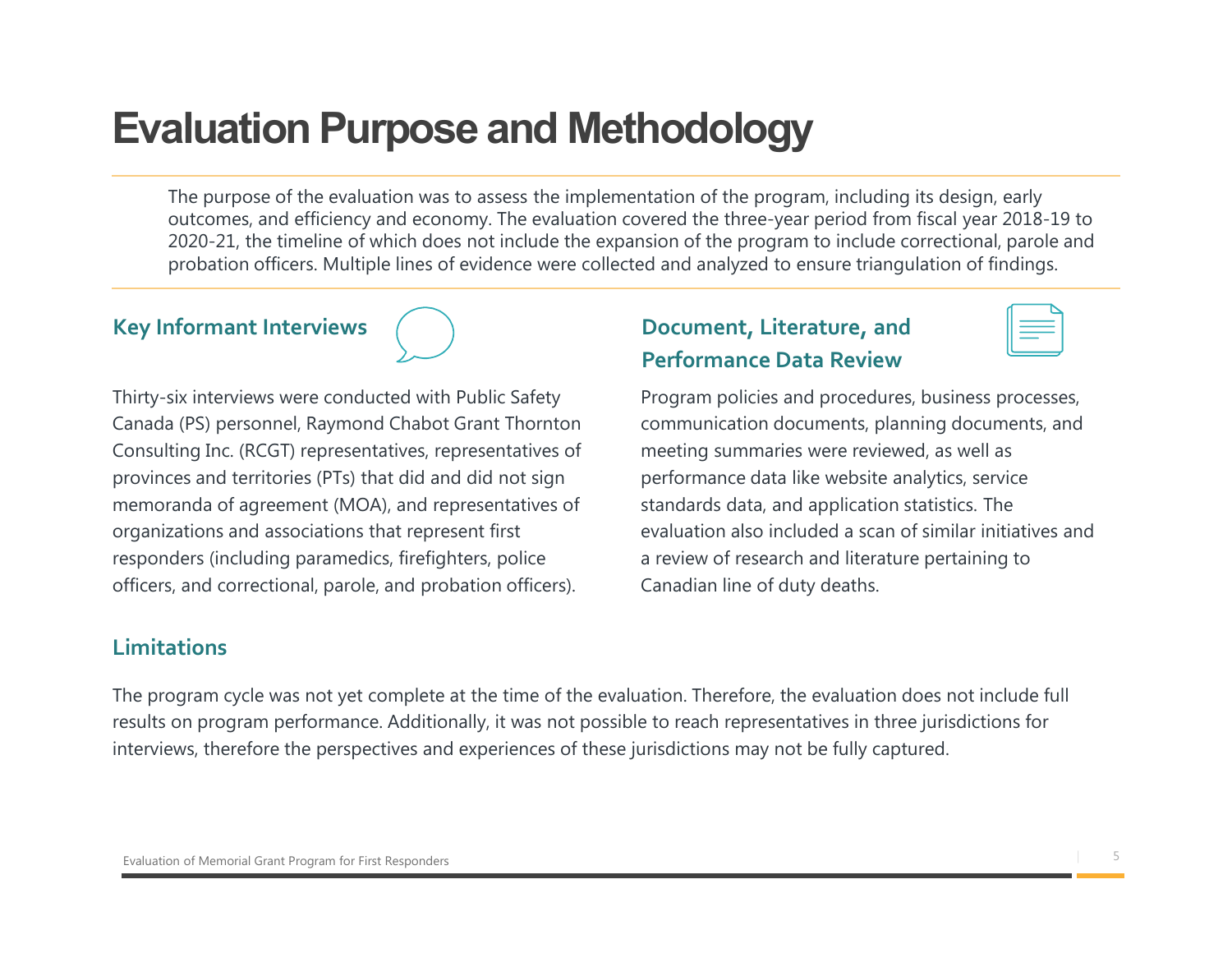## Evaluation Purpose and Methodology

**aluation Purpose and Methodology**<br>The purpose of the evaluation was to assess the implementation of the program, including its design, early<br>outcomes, and efficiency and economy. The evaluation covered the three-year peri outcomes, and efficiency and economy. The evaluation covered the three-year period from fiscal year 2018-19 to 2020-21, the timeline of which does not include the expansion of the program to include correctional, parole and probation officers. Multiple lines of evidence were collected and analyzed to ensure triangulation of findings.



Thirty-six interviews were conducted with Public Safety Canada (PS) personnel, Raymond Chabot Grant Thornton Consulting Inc. (RCGT) representatives, representatives of provinces and territories (PTs) that did and did not sign memoranda of agreement (MOA), and representatives of organizations and associations that represent first responders (including paramedics, firefighters, police officers, and correctional, parole, and probation officers).

#### Limitations

Key Informant Interviews (a) Bocument, Literature, and Performance Data Review



Program policies and procedures, business processes, communication documents, planning documents, and meeting summaries were reviewed, as well as performance data like website analytics, service standards data, and application statistics. The evaluation also included a scan of similar initiatives and a review of research and literature pertaining to Canadian line of duty deaths.

The program cycle was not yet complete at the time of the evaluation. Therefore, the evaluation does not include full results on program performance. Additionally, it was not possible to reach representatives in three jurisdictions for interviews, therefore the perspectives and experiences of these jurisdictions may not be fully captured.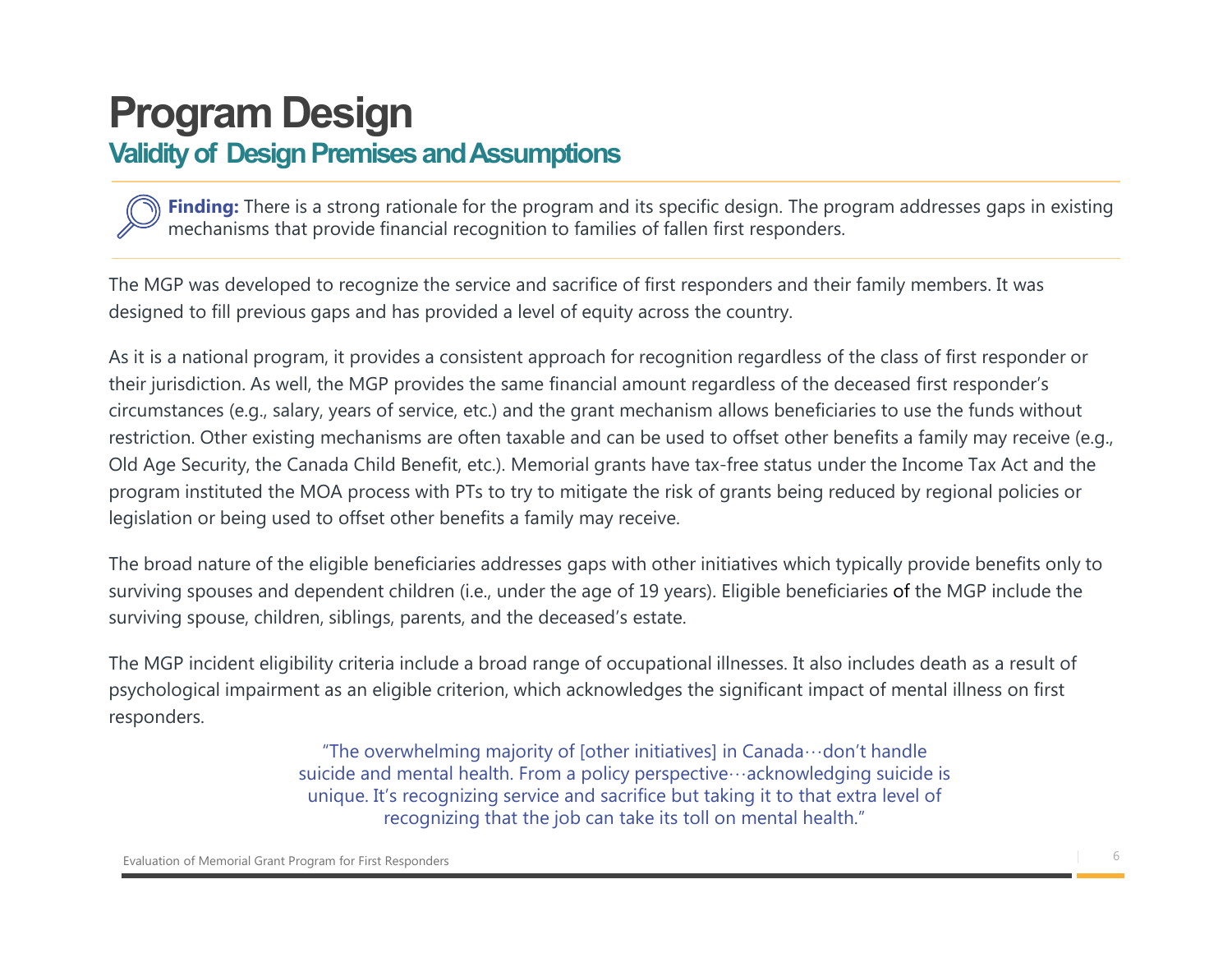### Validity of Design Premises and Assumptions

mechanisms that provide financial recognition to families of fallen first responders.

Finding: There is a strong rationale for the program and its specific design. The program addresses gaps in existing<br>Finding: There is a strong rationale for the program and its specific design. The program addresses gaps The MGP was developed to recognize the service and sacrifice of first responders and their family members. It was designed to fill previous gaps and has provided a level of equity across the country.

As it is a national program, it provides a consistent approach for recognition regardless of the class of first responder or their jurisdiction. As well, the MGP provides the same financial amount regardless of the deceased first responder's circumstances (e.g., salary, years of service, etc.) and the grant mechanism allows beneficiaries to use the funds without restriction. Other existing mechanisms are often taxable and can be used to offset other benefits a family may receive (e.g., Old Age Security, the Canada Child Benefit, etc.). Memorial grants have tax-free status under the Income Tax Act and the program instituted the MOA process with PTs to try to mitigate the risk of grants being reduced by regional policies or legislation or being used to offset other benefits a family may receive.

The broad nature of the eligible beneficiaries addresses gaps with other initiatives which typically provide benefits only to surviving spouses and dependent children (i.e., under the age of 19 years). Eligible beneficiaries of the MGP include the surviving spouse, children, siblings, parents, and the deceased's estate.

The MGP incident eligibility criteria include a broad range of occupational illnesses. It also includes death as a result of psychological impairment as an eligible criterion, which acknowledges the significant impact of mental illness on first responders.

> "The overwhelming majority of [other initiatives] in Canada…don't handle suicide and mental health. From a policy perspective…acknowledging suicide is unique. It's recognizing service and sacrifice but taking it to that extra level of recognizing that the job can take its toll on mental health."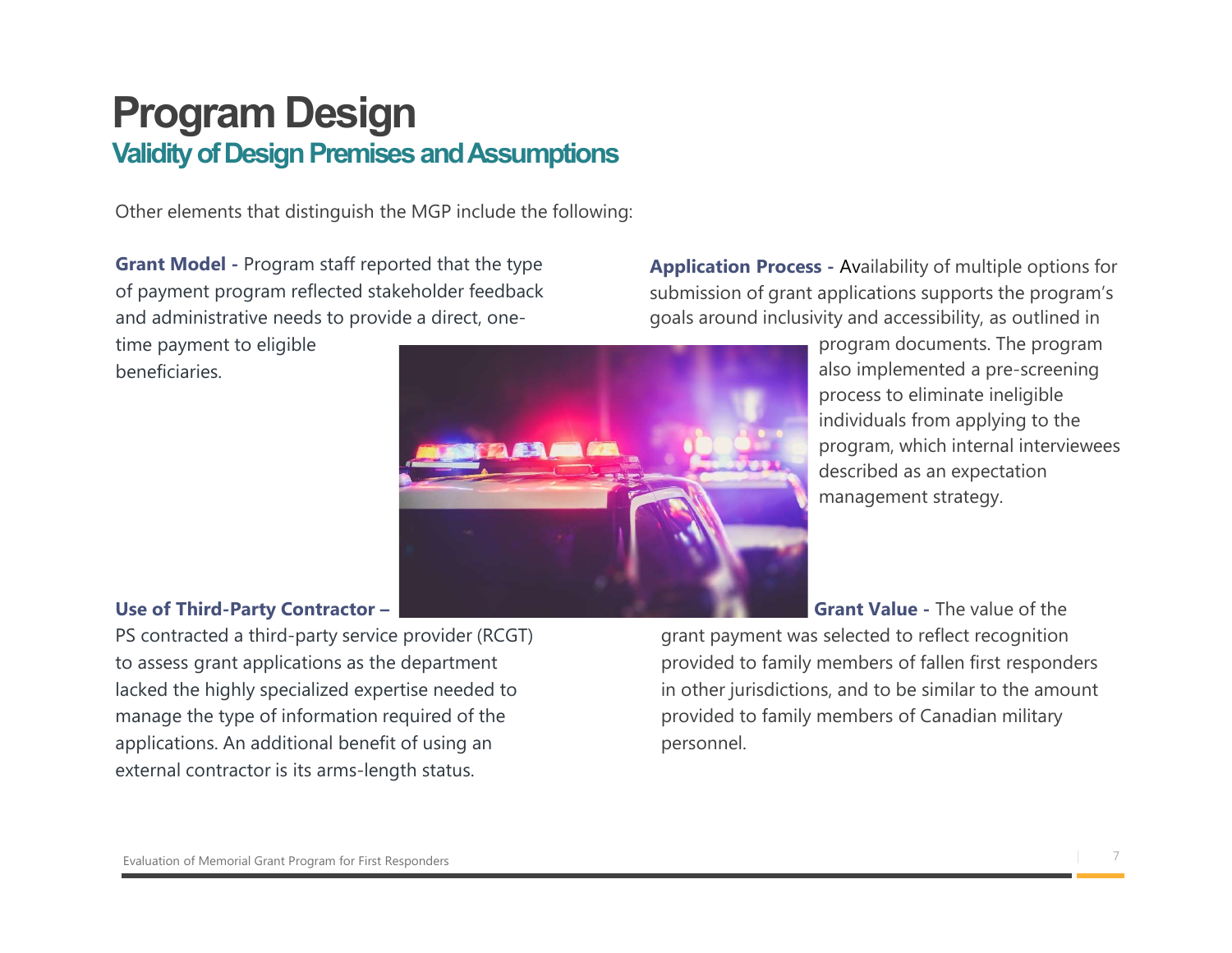### Program Design Validity of Design Premises and Assumptions

Other elements that distinguish the MGP include the following:

Grant Model - Program staff reported that the type of payment program reflected stakeholder feedback and administrative needs to provide a direct, one-

time payment to eligible beneficiaries.



Application Process - Availability of multiple options for submission of grant applications supports the program's goals around inclusivity and accessibility, as outlined in

> program documents. The program also implemented a pre-screening process to eliminate ineligible individuals from applying to the program, which internal interviewees described as an expectation management strategy.

#### Use of Third-Party Contractor –

PS contracted a third-party service provider (RCGT) to assess grant applications as the department lacked the highly specialized expertise needed to manage the type of information required of the applications. An additional benefit of using an external contractor is its arms-length status.

Grant Value - The value of the grant payment was selected to reflect recognition provided to family members of fallen first responders in other jurisdictions, and to be similar to the amount provided to family members of Canadian military personnel.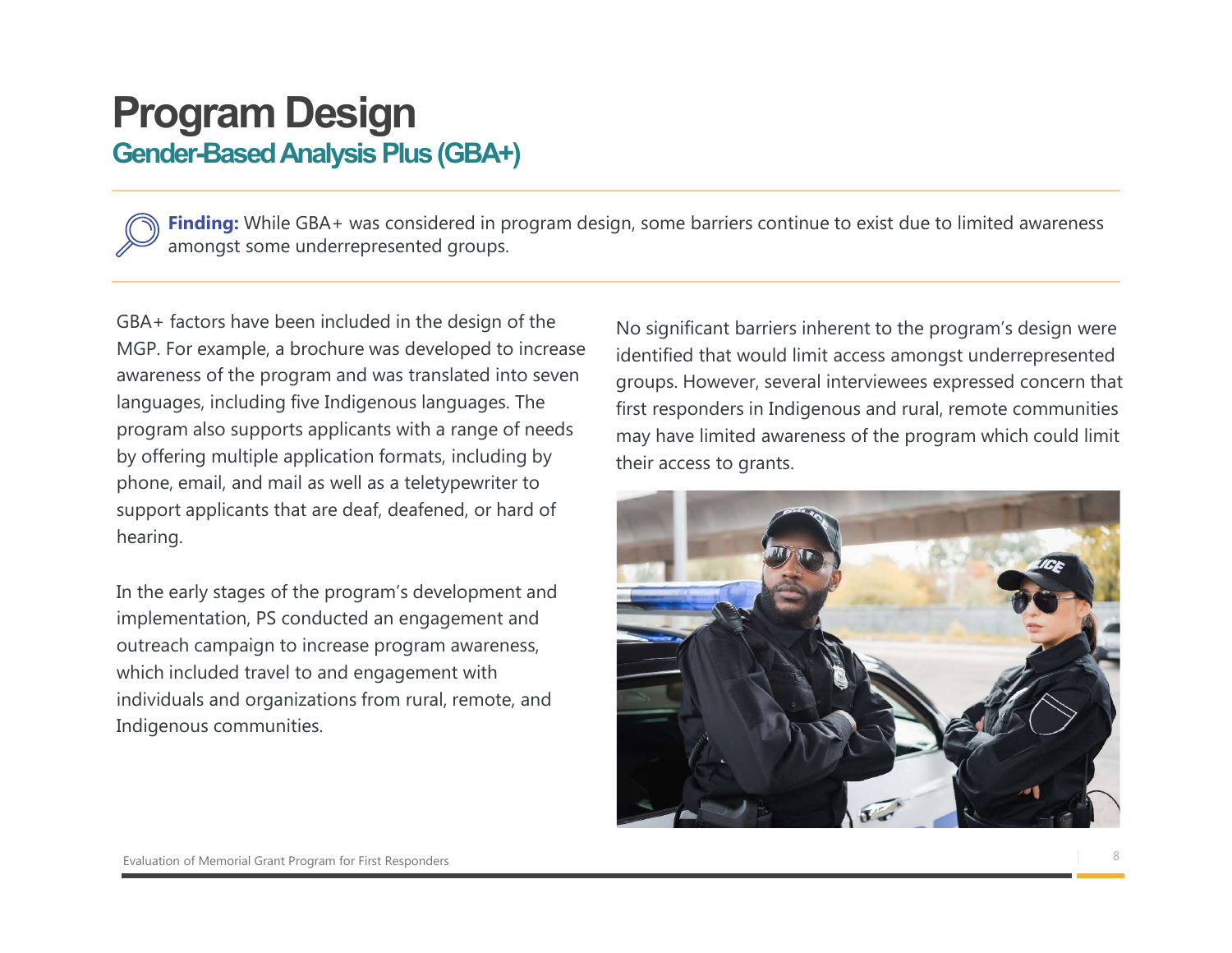#### Gender-Based Analysis Plus (GBA+)

**Schemation Constrained Schematics Plus (GBA+)**<br>Finding: While GBA+ was considered in program design, some barriers continue to exist due to limited awareness<br>amongst some underrepresented groups.<br>factors have been include amongst some underrepresented groups.

GBA+ factors have been included in the design of the MGP. For example, a brochure was developed to increase awareness of the program and was translated into seven languages, including five Indigenous languages. The program also supports applicants with a range of needs by offering multiple application formats, including by phone, email, and mail as well as a teletypewriter to support applicants that are deaf, deafened, or hard of hearing.

In the early stages of the program's development and implementation, PS conducted an engagement and outreach campaign to increase program awareness, which included travel to and engagement with individuals and organizations from rural, remote, and Indigenous communities.

No significant barriers inherent to the program's design were identified that would limit access amongst underrepresented groups. However, several interviewees expressed concern that first responders in Indigenous and rural, remote communities may have limited awareness of the program which could limit their access to grants.

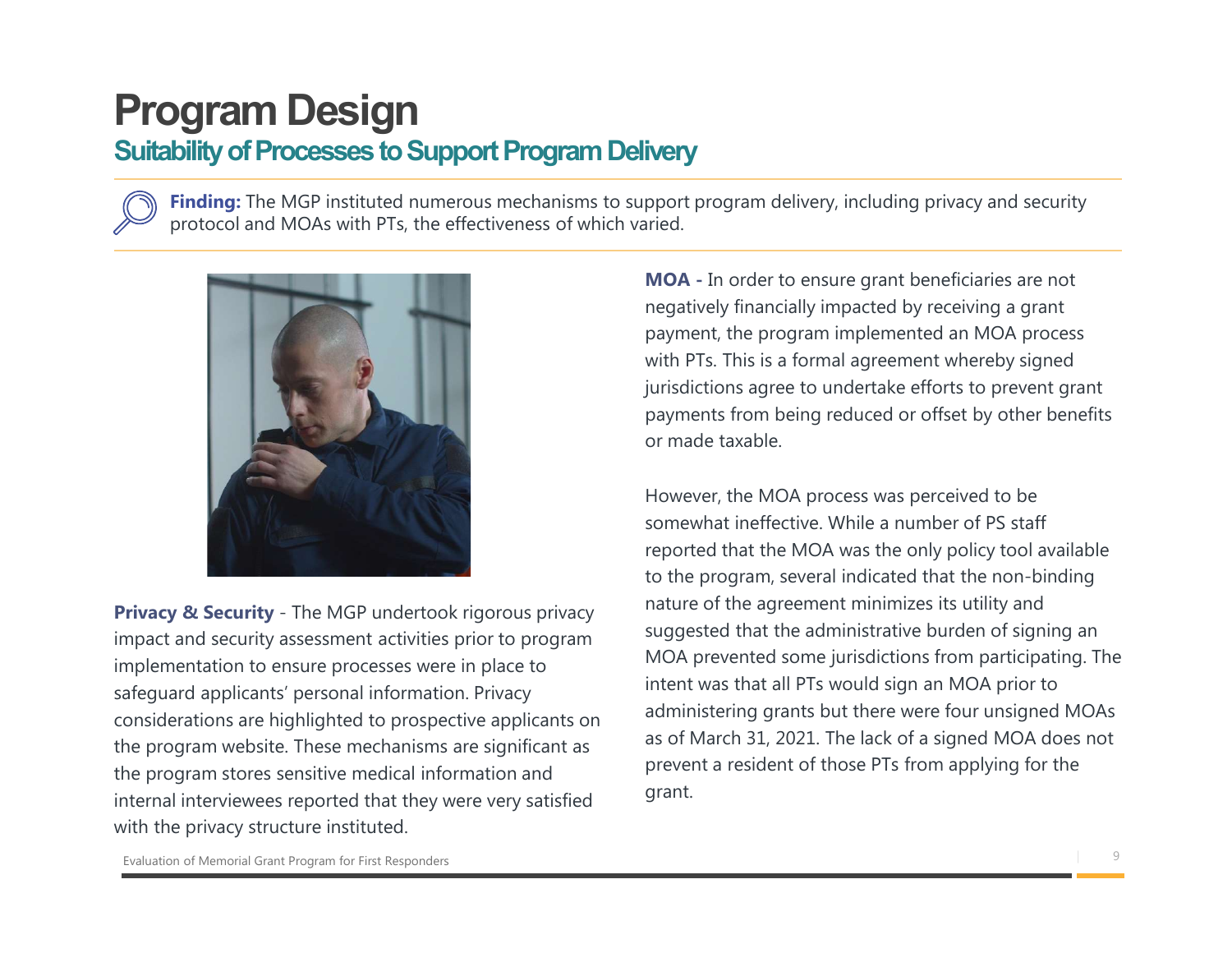### Suitability of Processes to Support Program Delivery

**Finding:** The MGP instituted numerous mechanisms to support program delivery, including privacy and security protocol and MOAs with PTs, the effectiveness of which varied.



impact and security assessment activities prior to program implementation to ensure processes were in place to safeguard applicants' personal information. Privacy considerations are highlighted to prospective applicants on the program website. These mechanisms are significant as the program stores sensitive medical information and internal interviewees reported that they were very satisfied with the privacy structure instituted.

MOA - In order to ensure grant beneficiaries are not **ivery**<br> **ivery**<br>
pport program delivery, including privacy and security<br>
iried.<br> **MOA** - In order to ensure grant beneficiaries are not<br>
negatively financially impacted by receiving a grant<br>
payment, the program implement payment, the program implemented an MOA process **ivery**<br>pport program delivery, including privacy and security<br>ried.<br>**MOA** - In order to ensure grant beneficiaries are not<br>negatively financially impacted by receiving a grant<br>payment, the program implemented an MOA proce jurisdictions agree to undertake efforts to prevent grant payments from being reduced or offset by other benefits or made taxable.

However, the MOA process was perceived to be somewhat ineffective. While a number of PS staff reported that the MOA was the only policy tool available to the program, several indicated that the non-binding nature of the agreement minimizes its utility and suggested that the administrative burden of signing an MOA prevented some jurisdictions from participating. The intent was that all PTs would sign an MOA prior to administering grants but there were four unsigned MOAs as of March 31, 2021. The lack of a signed MOA does not prevent a resident of those PTs from applying for the grant.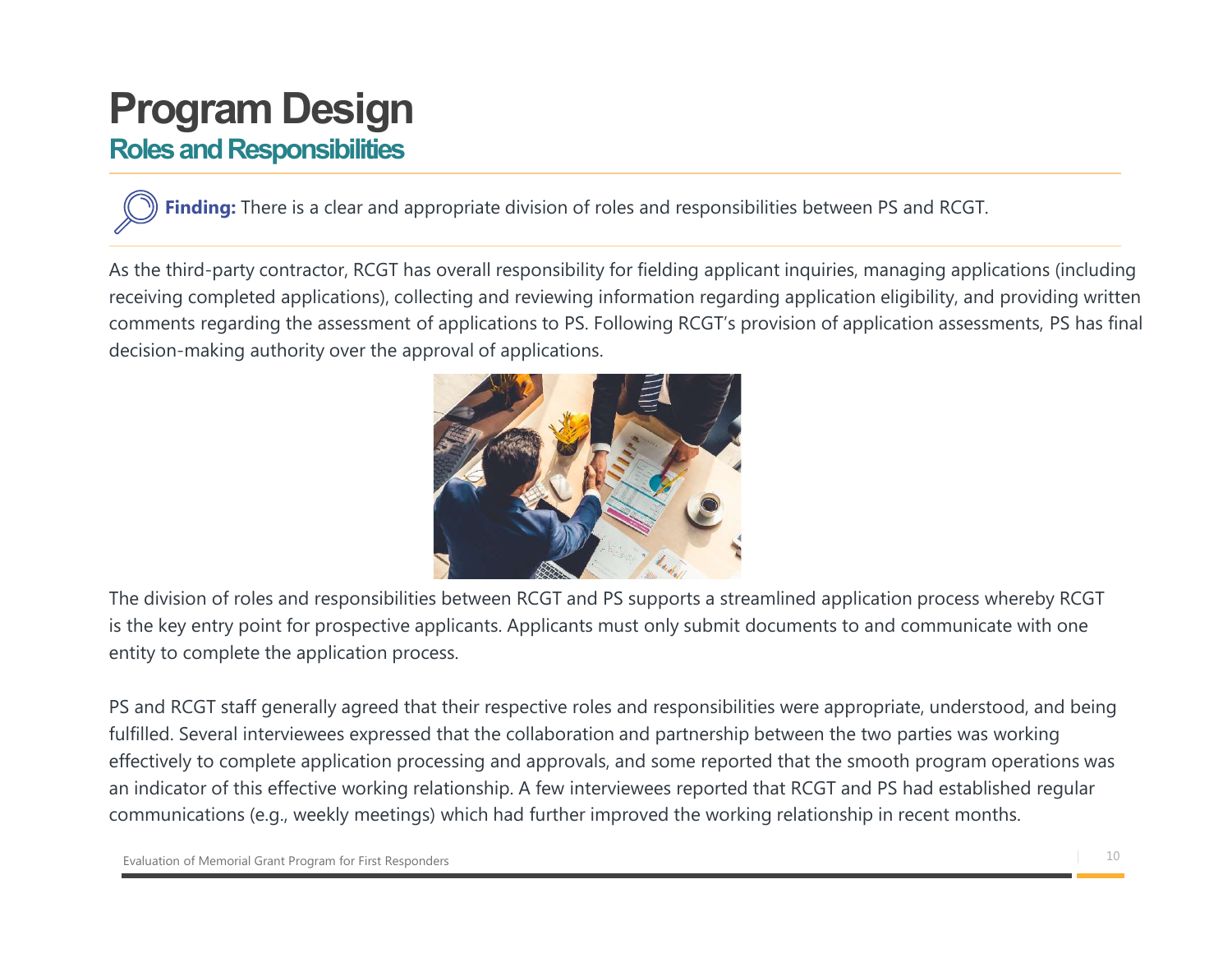### Roles and Responsibilities

Finding: There is a clear and appropriate division of roles and responsibilities between PS and RCGT.

As the third-party contractor, RCGT has overall responsibility for fielding applicant inquiries, managing applications (including receiving completed applications), collecting and reviewing information regarding application eligibility, and providing written comments regarding the assessment of applications to PS. Following RCGT's provision of application assessments, PS has final decision-making authority over the approval of applications.



The division of roles and responsibilities between RCGT and PS supports a streamlined application process whereby RCGT is the key entry point for prospective applicants. Applicants must only submit documents to and communicate with one entity to complete the application process.

PS and RCGT staff generally agreed that their respective roles and responsibilities were appropriate, understood, and being fulfilled. Several interviewees expressed that the collaboration and partnership between the two parties was working effectively to complete application processing and approvals, and some reported that the smooth program operations was an indicator of this effective working relationship. A few interviewees reported that RCGT and PS had established regular communications (e.g., weekly meetings) which had further improved the working relationship in recent months.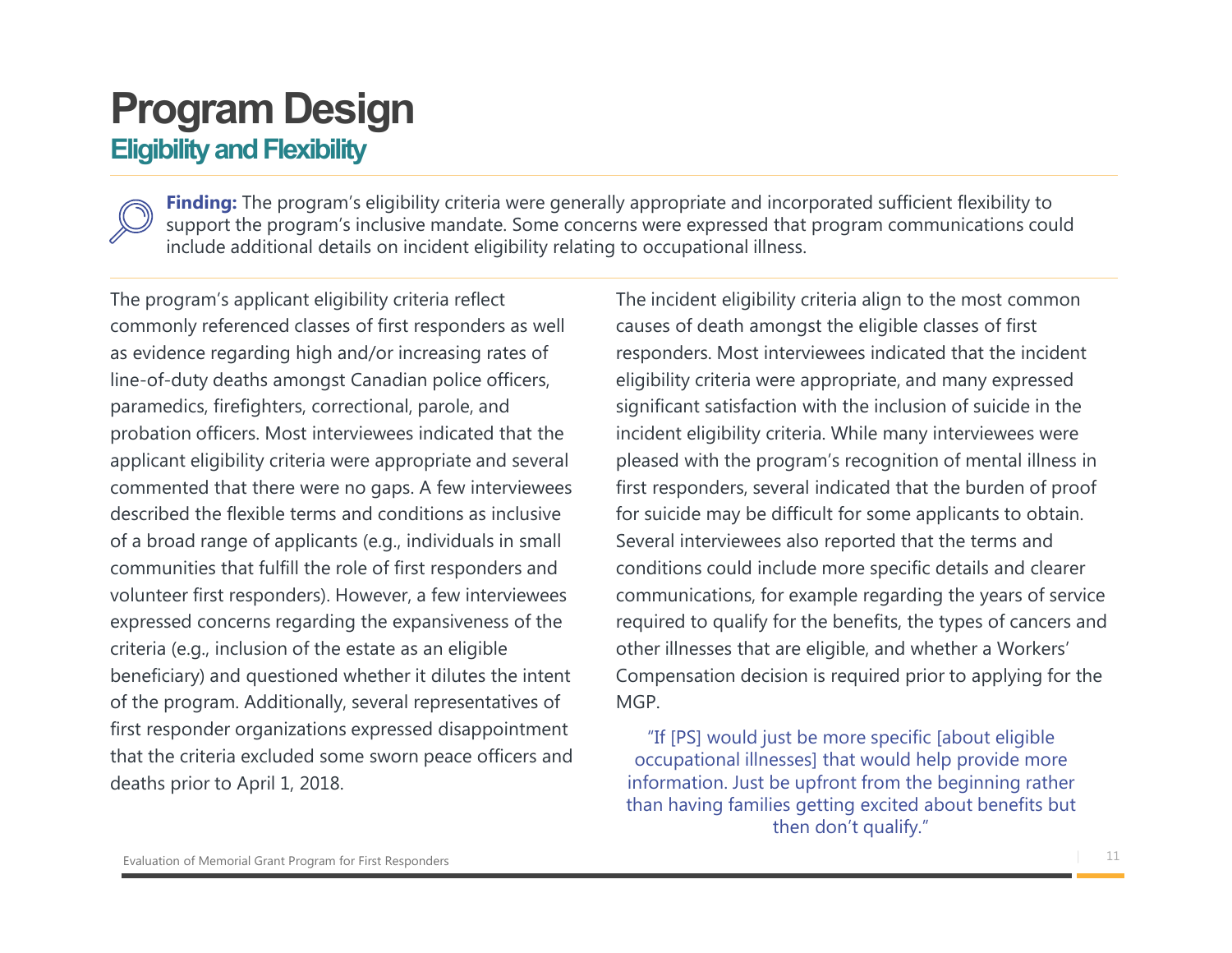### Eligibility and Flexibility

Finding: The program's eligibility criteria were generally appropriate and incorporated sufficient flexibility to<br>support the program's inclusive mandate. Some concerns were expressed that program communications could **Support The program's eligibility criteria were generally appropriate and incorporated sufficient flexibility to support the program's inclusive mandate. Some concerns were expressed that program communications could incl** include additional details on incident eligibility relating to occupational illness.

The program's applicant eligibility criteria reflect commonly referenced classes of first responders as well as evidence regarding high and/or increasing rates of line-of-duty deaths amongst Canadian police officers, paramedics, firefighters, correctional, parole, and probation officers. Most interviewees indicated that the applicant eligibility criteria were appropriate and several commented that there were no gaps. A few interviewees described the flexible terms and conditions as inclusive of a broad range of applicants (e.g., individuals in small communities that fulfill the role of first responders and volunteer first responders). However, a few interviewees expressed concerns regarding the expansiveness of the criteria (e.g., inclusion of the estate as an eligible beneficiary) and questioned whether it dilutes the intent of the program. Additionally, several representatives of first responder organizations expressed disappointment that the criteria excluded some sworn peace officers and deaths prior to April 1, 2018.

The incident eligibility criteria align to the most common causes of death amongst the eligible classes of first responders. Most interviewees indicated that the incident eligibility criteria were appropriate, and many expressed significant satisfaction with the inclusion of suicide in the incident eligibility criteria. While many interviewees were pleased with the program's recognition of mental illness in first responders, several indicated that the burden of proof for suicide may be difficult for some applicants to obtain. Several interviewees also reported that the terms and conditions could include more specific details and clearer communications, for example regarding the years of service required to qualify for the benefits, the types of cancers and other illnesses that are eligible, and whether a Workers' Compensation decision is required prior to applying for the MGP.

"If [PS] would just be more specific [about eligible occupational illnesses] that would help provide more information. Just be upfront from the beginning rather than having families getting excited about benefits but then don't qualify."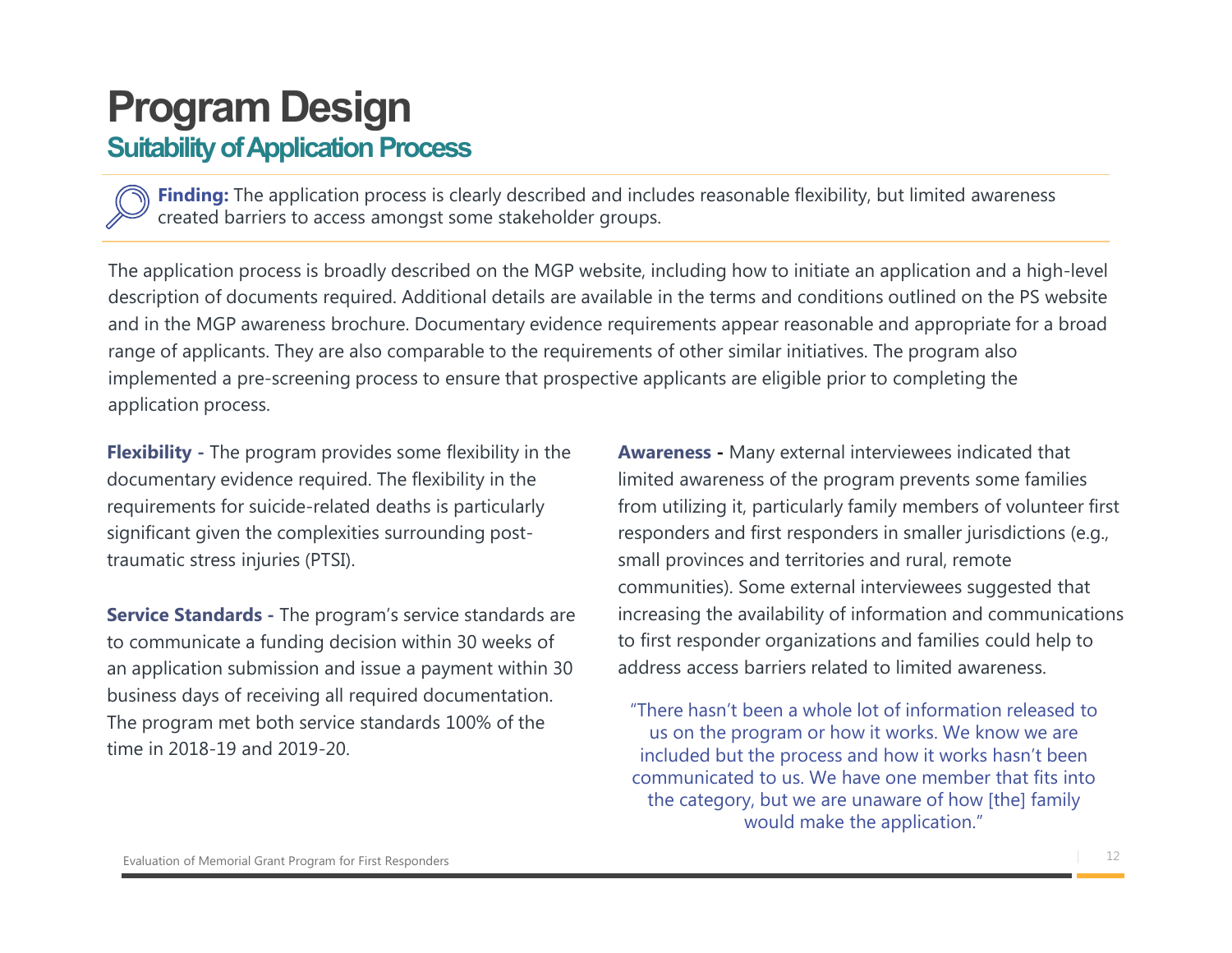#### Suitability of Application Process

created barriers to access amongst some stakeholder groups.

**System Design**<br> **System**<br> **Finding:** The application process is clearly described and includes reasonable flexibility, but limited awareness<br>
created barriers to access amongst some stakeholder groups.<br>
poplication proces The application process is broadly described on the MGP website, including how to initiate an application and a high-level description of documents required. Additional details are available in the terms and conditions outlined on the PS website and in the MGP awareness brochure. Documentary evidence requirements appear reasonable and appropriate for a broad range of applicants. They are also comparable to the requirements of other similar initiatives. The program also implemented a pre-screening process to ensure that prospective applicants are eligible prior to completing the application process.

Flexibility - The program provides some flexibility in the documentary evidence required. The flexibility in the requirements for suicide-related deaths is particularly significant given the complexities surrounding posttraumatic stress injuries (PTSI).

Service Standards - The program's service standards are to communicate a funding decision within 30 weeks of an application submission and issue a payment within 30 business days of receiving all required documentation. The program met both service standards 100% of the time in 2018-19 and 2019-20.

Awareness - Many external interviewees indicated that limited awareness of the program prevents some families from utilizing it, particularly family members of volunteer first responders and first responders in smaller jurisdictions (e.g., small provinces and territories and rural, remote communities). Some external interviewees suggested that increasing the availability of information and communications to first responder organizations and families could help to address access barriers related to limited awareness.

"There hasn't been a whole lot of information released to us on the program or how it works. We know we are included but the process and how it works hasn't been communicated to us. We have one member that fits into the category, but we are unaware of how [the] family would make the application."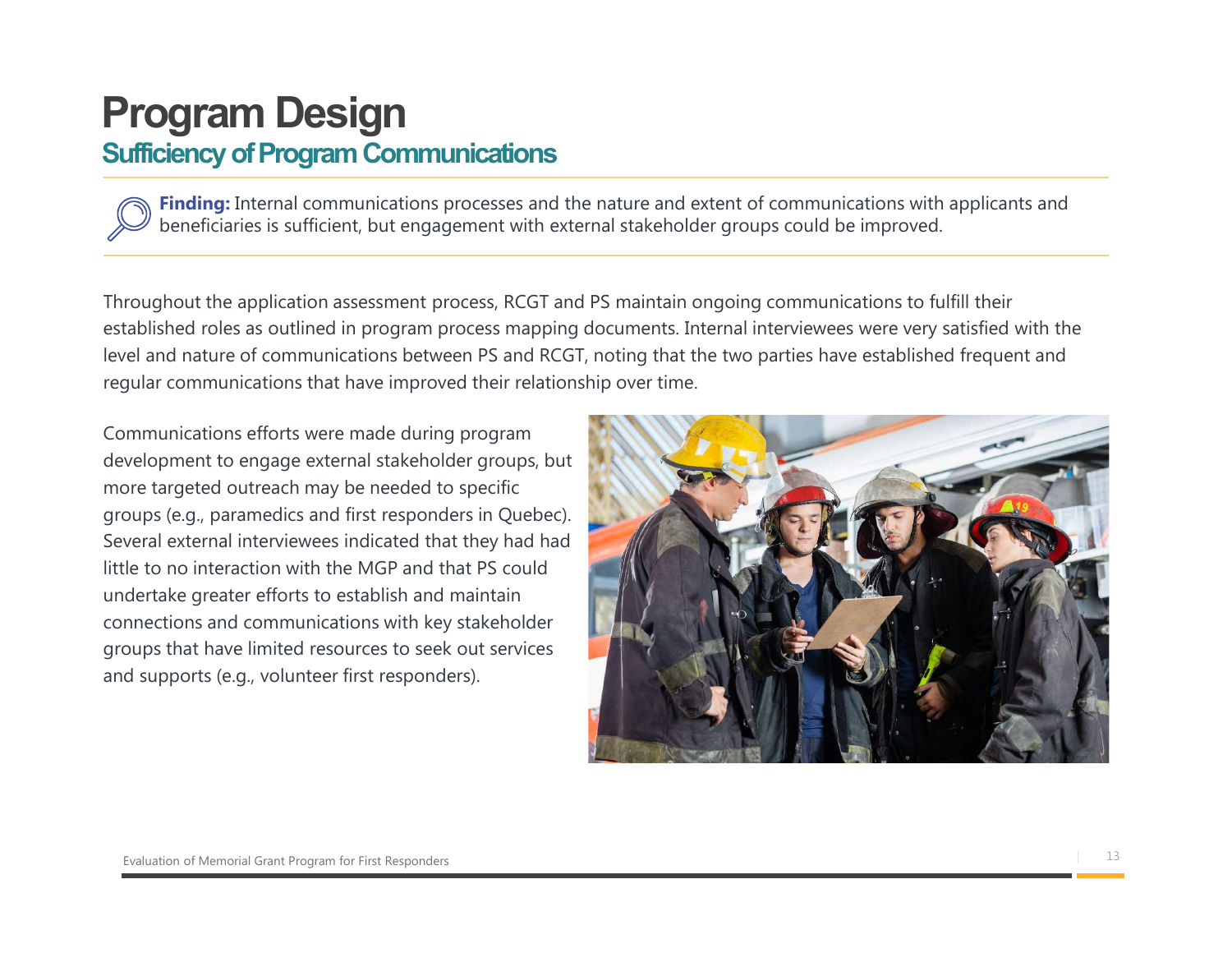### Program Design Sufficiency of Program Communications

Finding: Internal communications processes and the nature and extent of communications with applicants and beneficiaries is sufficient, but engagement with external stakeholder groups could be improved.

Throughout the application assessment process, RCGT and PS maintain ongoing communications to fulfill their established roles as outlined in program process mapping documents. Internal interviewees were very satisfied with the level and nature of communications between PS and RCGT, noting that the two parties have established frequent and regular communications that have improved their relationship over time.

Communications efforts were made during program development to engage external stakeholder groups, but more targeted outreach may be needed to specific groups (e.g., paramedics and first responders in Quebec). Several external interviewees indicated that they had had little to no interaction with the MGP and that PS could undertake greater efforts to establish and maintain connections and communications with key stakeholder groups that have limited resources to seek out services and supports (e.g., volunteer first responders).

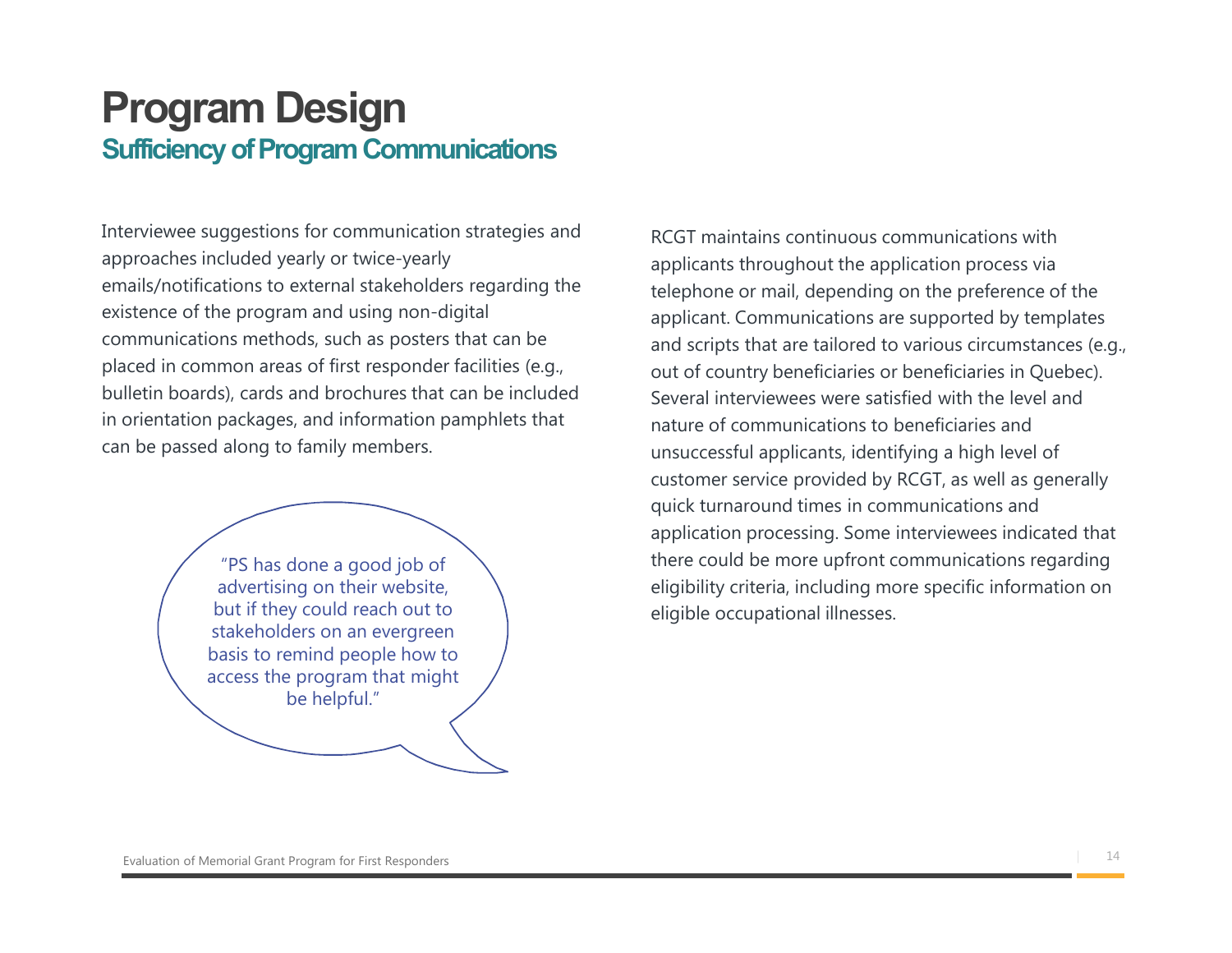### Program Design Sufficiency of Program Communications

Interviewee suggestions for communication strategies and approaches included yearly or twice-yearly emails/notifications to external stakeholders regarding the existence of the program and using non-digital communications methods, such as posters that can be placed in common areas of first responder facilities (e.g., bulletin boards), cards and brochures that can be included in orientation packages, and information pamphlets that can be passed along to family members.

> "PS has done a good job of advertising on their website, but if they could reach out to stakeholders on an evergreen basis to remind people how to access the program that might be helpful."

RCGT maintains continuous communications with applicants throughout the application process via telephone or mail, depending on the preference of the applicant. Communications are supported by templates and scripts that are tailored to various circumstances (e.g., out of country beneficiaries or beneficiaries in Quebec). Several interviewees were satisfied with the level and nature of communications to beneficiaries and unsuccessful applicants, identifying a high level of customer service provided by RCGT, as well as generally quick turnaround times in communications and application processing. Some interviewees indicated that there could be more upfront communications regarding eligibility criteria, including more specific information on eligible occupational illnesses.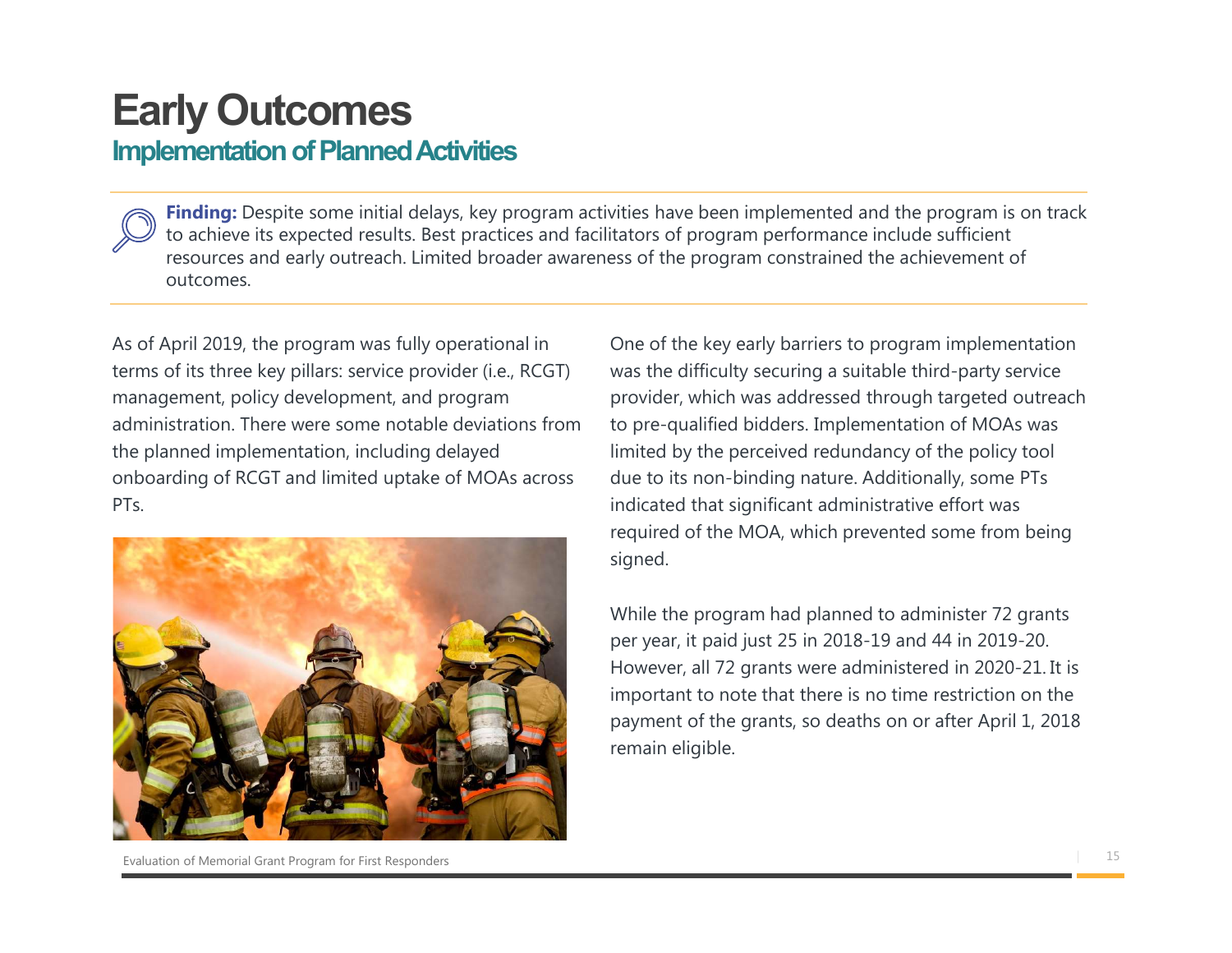## Early Outcomes

#### Implementation of Planned Activities

**Finding:** Despite some initial delays, key program activities have been implemented and the program is on track to achieve its expected results. Best practices and facilitators of program performance include sufficient resources and early outreach. Limited broader awareness of the program constrained the achievement of outcomes.

As of April 2019, the program was fully operational in terms of its three key pillars: service provider (i.e., RCGT) management, policy development, and program administration. There were some notable deviations from the planned implementation, including delayed onboarding of RCGT and limited uptake of MOAs across PT<sub>s</sub>



One of the key early barriers to program implementation was the difficulty securing a suitable third-party service provider, which was addressed through targeted outreach to pre-qualified bidders. Implementation of MOAs was limited by the perceived redundancy of the policy tool due to its non-binding nature. Additionally, some PTs indicated that significant administrative effort was required of the MOA, which prevented some from being signed. One of the key early barriers to program implementation<br>was the difficulty securing a suitable third-party service<br>provider, which was addressed through targeted outreach<br>to pre-qualified bidders. Implementation of MOAs wa was the difficulty securing a suitable third-party service<br>provider, which was addressed through targeted outreach<br>to pre-qualified bidders. Implementation of MOAs was<br>limited by the perceived redundancy of the policy tool

While the program had planned to administer 72 grants per year, it paid just 25 in 2018-19 and 44 in 2019-20. important to note that there is no time restriction on the remain eligible.

| 15 Evaluation of Memorial Grant Program for First Responders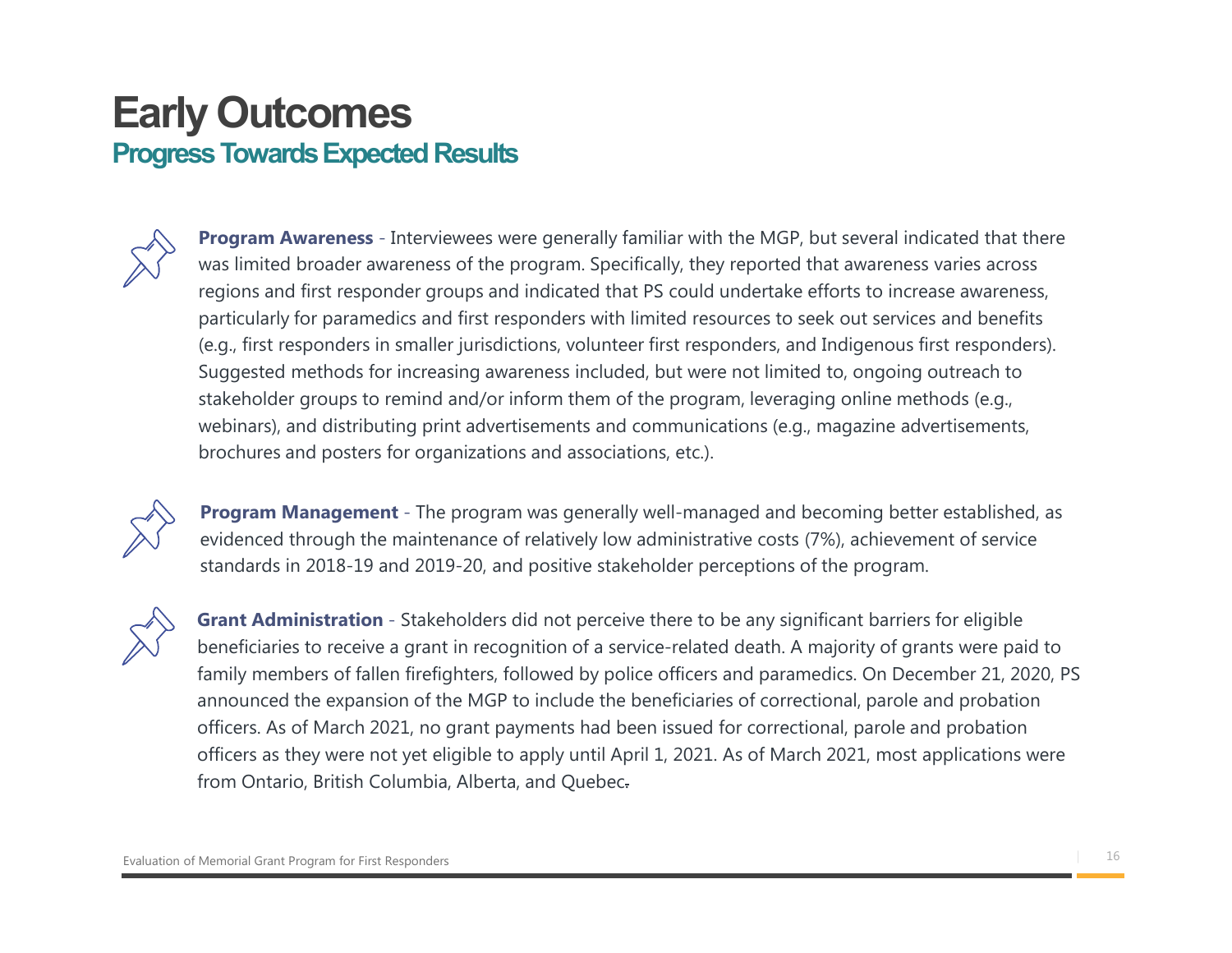### Early Outcomes Progress Towards Expected Results



**Program Awareness** - Interviewees were generally familiar with the MGP, but several indicated that there was limited broader awareness of the program. Specifically, they reported that awareness varies across regions and first responder groups and indicated that PS could undertake efforts to increase awareness, particularly for paramedics and first responders with limited resources to seek out services and benefits (e.g., first responders in smaller jurisdictions, volunteer first responders, and Indigenous first responders). Suggested methods for increasing awareness included, but were not limited to, ongoing outreach to stakeholder groups to remind and/or inform them of the program, leveraging online methods (e.g., webinars), and distributing print advertisements and communications (e.g., magazine advertisements, brochures and posters for organizations and associations, etc.).



**Program Management** - The program was generally well-managed and becoming better established, as evidenced through the maintenance of relatively low administrative costs (7%), achievement of service standards in 2018-19 and 2019-20, and positive stakeholder perceptions of the program.



Grant Administration - Stakeholders did not perceive there to be any significant barriers for eligible beneficiaries to receive a grant in recognition of a service-related death. A majority of grants were paid to family members of fallen firefighters, followed by police officers and paramedics. On December 21, 2020, PS announced the expansion of the MGP to include the beneficiaries of correctional, parole and probation officers. As of March 2021, no grant payments had been issued for correctional, parole and probation officers as they were not yet eligible to apply until April 1, 2021. As of March 2021, most applications were from Ontario, British Columbia, Alberta, and Quebec.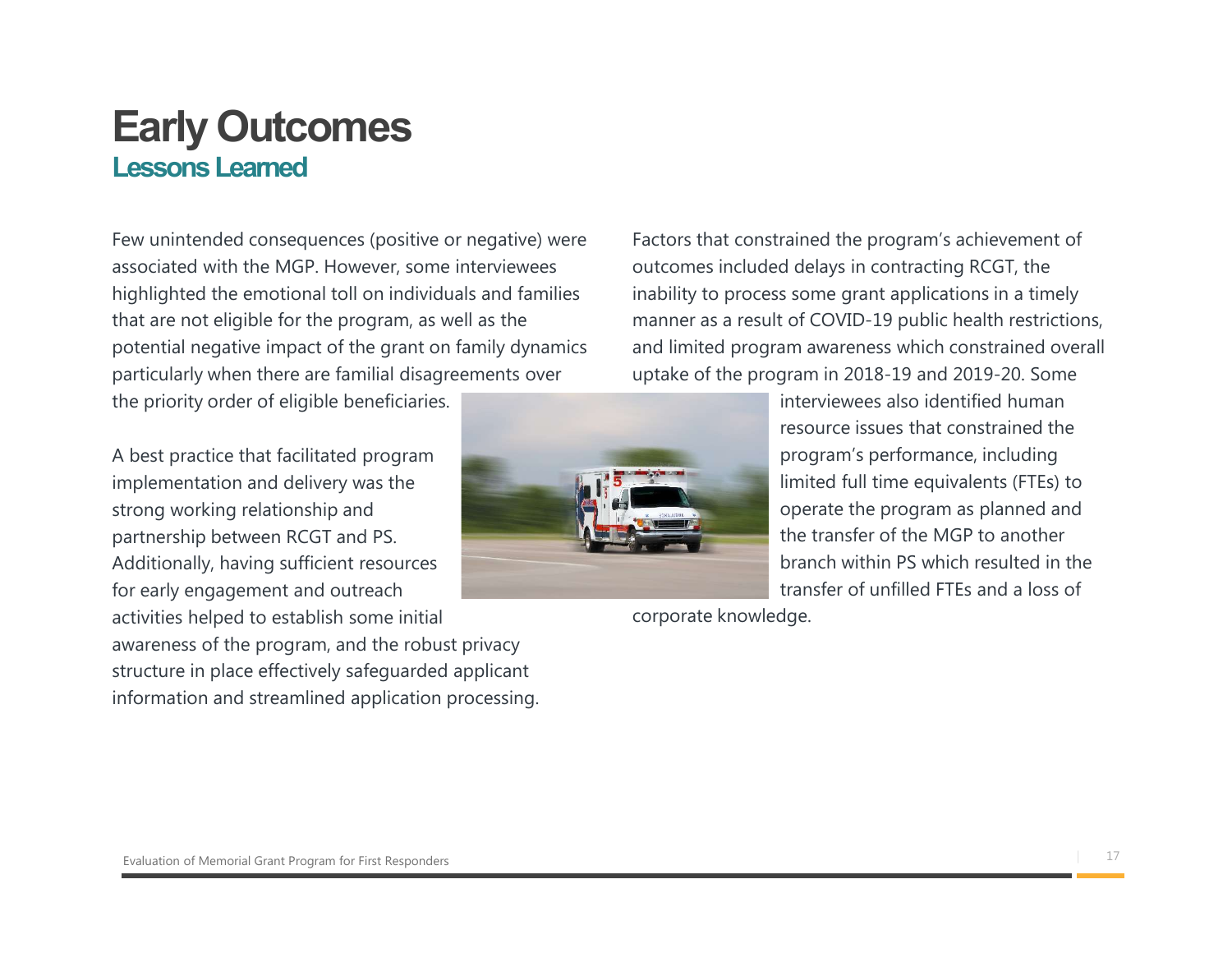### Early Outcomes Lessons Learned

Few unintended consequences (positive or negative) were associated with the MGP. However, some interviewees highlighted the emotional toll on individuals and families that are not eligible for the program, as well as the potential negative impact of the grant on family dynamics particularly when there are familial disagreements over the priority order of eligible beneficiaries.

A best practice that facilitated program implementation and delivery was the strong working relationship and partnership between RCGT and PS. Additionally, having sufficient resources for early engagement and outreach

activities helped to establish some initial awareness of the program, and the robust privacy structure in place effectively safeguarded applicant information and streamlined application processing. Factors that constrained the program's achievement of outcomes included delays in contracting RCGT, the inability to process some grant applications in a timely manner as a result of COVID-19 public health restrictions, and limited program awareness which constrained overall uptake of the program in 2018-19 and 2019-20. Some



interviewees also identified human resource issues that constrained the program's performance, including limited full time equivalents (FTEs) to operate the program as planned and the transfer of the MGP to another branch within PS which resulted in the transfer of unfilled FTEs and a loss of

corporate knowledge.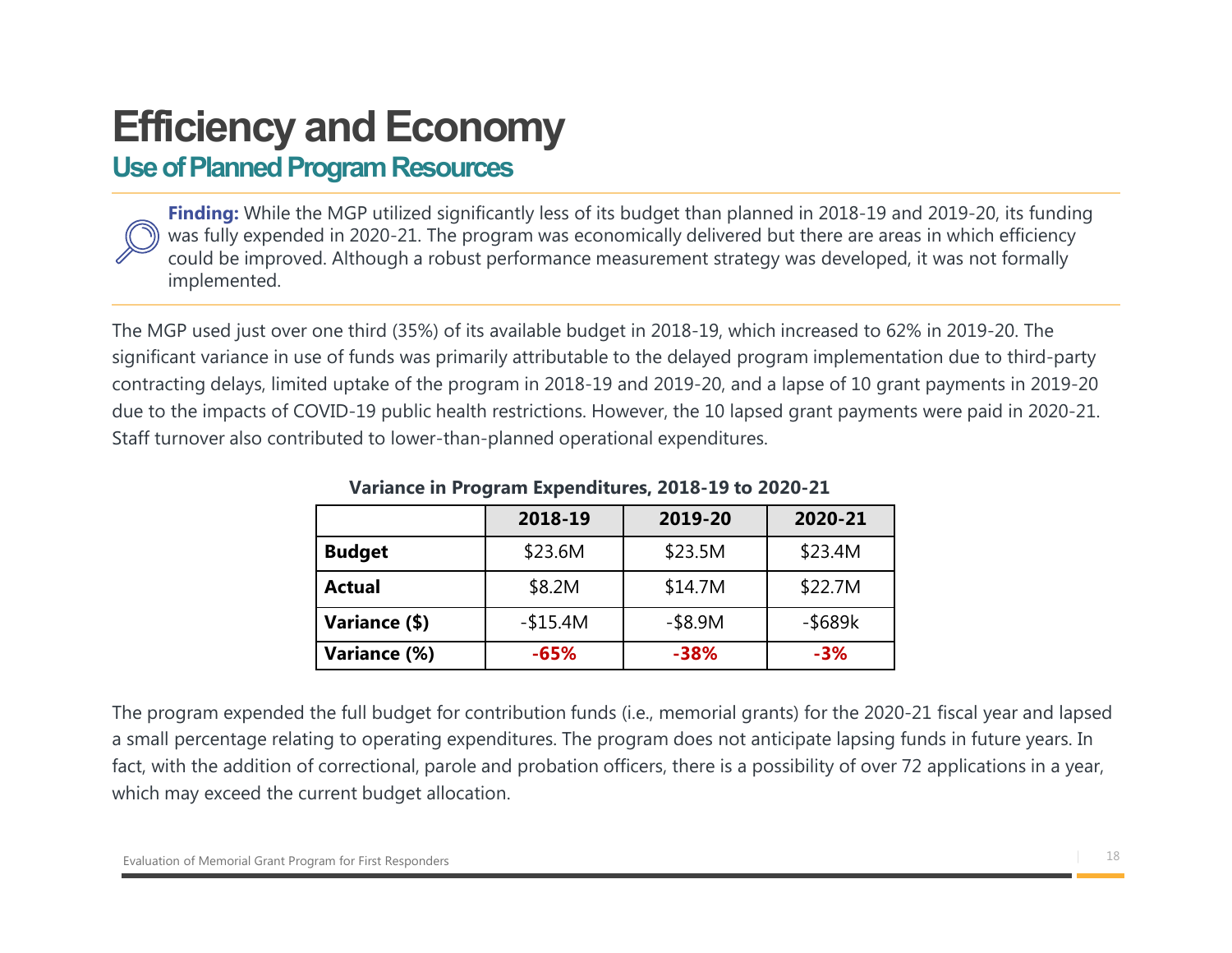## Efficiency and Economy

### Use of Planned Program Resources

**Finding:** While the MGP utilized significantly less of its budget than planned in 2018-19 and 2019-20, its funding Ciency and Economy<br>
of Planned Program Resources<br>
Finding: While the MGP utilized significantly less of its budget than planned in 2018-19 and 2019-20, its funding<br>
was fully expended in 2020-21. The program was economical could be improved. Although a robust performance measurement strategy was developed, it was not formally implemented.

The MGP used just over one third (35%) of its available budget in 2018-19, which increased to 62% in 2019-20. The significant variance in use of funds was primarily attributable to the delayed program implementation due to third-party **Efficiency and Economy**<br>Use of Planned Program Resources<br> **Finding:** While the MGP utilized significantly less of its budget than planned in 2018-19 and 2019-20, its funding<br>
could be improved in 2020-21. The program was due to the impacts of COVID-19 public health restrictions. However, the 10 lapsed grant payments were paid in 2020-21. Staff turnover also contributed to lower-than-planned operational expenditures. 2018-19 Evaluation 19 2018-19 and 2019-20, its funding<br>
2019-20, its funding<br>
2019-20, its funding<br>
2019-20 commance measurement strategy was developed, it was not formally<br>
2019-20 commance measurement strategy was develo MGP utilized significantly less of its budget than planned in 2018-19 and 2019-20, its funding<br>
in 2020-21. The program was economically delivered but there are areas in which efficiency<br>
Although a robust performance meas In 2020-21. The program was economically delivered but there are areas in which efficiency<br>Although a robust performance measurement strategy was developed, it was not formally<br>
ne third (35%) of its available budget in 2 me third (35%) of its available budget in 2018-19, which increased to 62% in 2019-20. The<br>
of funds was primarily attributable to the delayed program implementation due to third-party<br>
uptake of the program in 2018-19 and me third (35%) of its available budget in 2018-19, which increased to 62% in 2019-20. The<br>
of funds was primarily attributable to the delayed program implementation due to third-party<br>
uptake of the program in 2018-19 and

|               | 2018-19   | 2019-20    | 2020-21       |
|---------------|-----------|------------|---------------|
| <b>Budget</b> | \$23.6M   | \$23.5M    | \$23.4M       |
| <b>Actual</b> | \$8.2M    | \$14.7M    | \$22.7M       |
| Variance (\$) | $-$15.4M$ | $-$ \$8.9M | $-$ \$689 $k$ |
| Variance (%)  | $-65%$    | -38%       | $-3%$         |

#### Variance in Program Expenditures, 2018-19 to 2020-21

The program expended the full budget for contribution funds (i.e., memorial grants) for the 2020-21 fiscal year and lapsed a small percentage relating to operating expenditures. The program does not anticipate lapsing funds in future years. In fact, with the addition of correctional, parole and probation officers, there is a possibility of over 72 applications in a year, which may exceed the current budget allocation.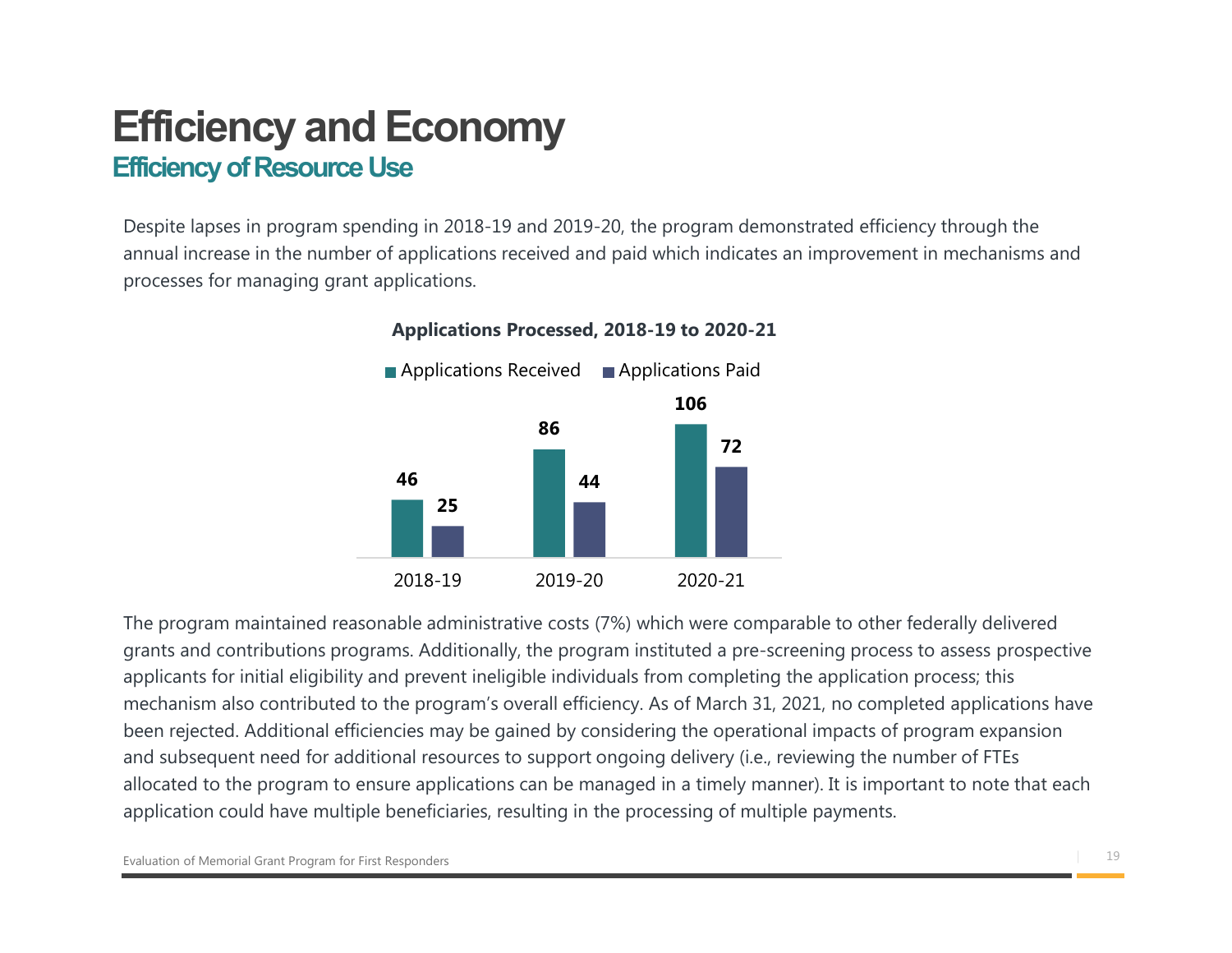### Efficiency and Economy Efficiency of Resource Use

Despite lapses in program spending in 2018-19 and 2019-20, the program demonstrated efficiency through the annual increase in the number of applications received and paid which indicates an improvement in mechanisms and processes for managing grant applications.



#### Applications Processed, 2018-19 to 2020-21

The program maintained reasonable administrative costs (7%) which were comparable to other federally delivered grants and contributions programs. Additionally, the program instituted a pre-screening process to assess prospective applicants for initial eligibility and prevent ineligible individuals from completing the application process; this mechanism also contributed to the program's overall efficiency. As of March 31, 2021, no completed applications have been rejected. Additional efficiencies may be gained by considering the operational impacts of program expansion and subsequent need for additional resources to support ongoing delivery (i.e., reviewing the number of FTEs allocated to the program to ensure applications can be managed in a timely manner). It is important to note that each application could have multiple beneficiaries, resulting in the processing of multiple payments.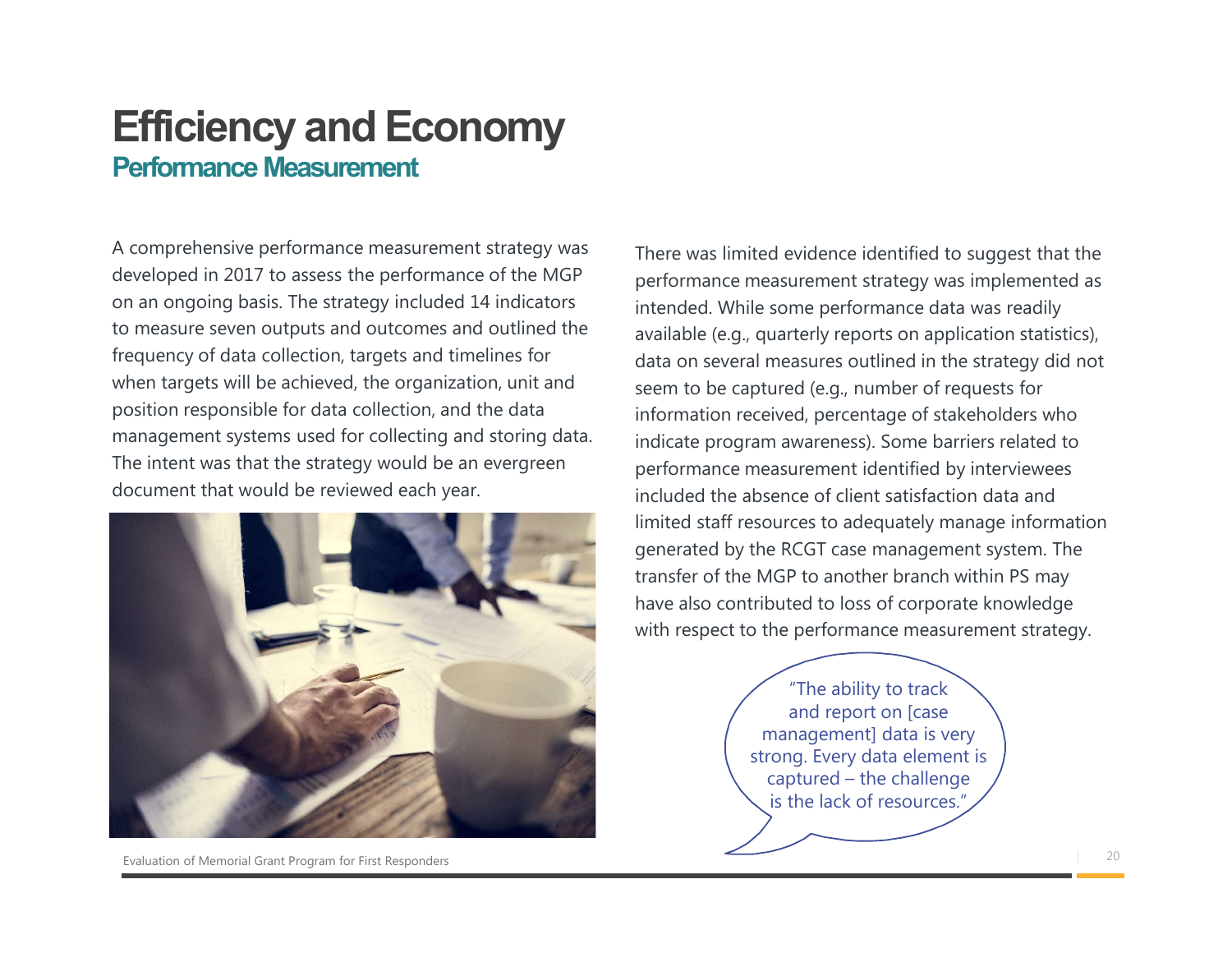### Efficiency and Economy Performance Measurement

A comprehensive performance measurement strategy was developed in 2017 to assess the performance of the MGP on an ongoing basis. The strategy included 14 indicators to measure seven outputs and outcomes and outlined the frequency of data collection, targets and timelines for when targets will be achieved, the organization, unit and position responsible for data collection, and the data management systems used for collecting and storing data. The intent was that the strategy would be an evergreen document that would be reviewed each year.



Evaluation of Memorial Grant Program for First Responders **Example 20** 20

There was limited evidence identified to suggest that the performance measurement strategy was implemented as intended. While some performance data was readily available (e.g., quarterly reports on application statistics), data on several measures outlined in the strategy did not seem to be captured (e.g., number of requests for information received, percentage of stakeholders who indicate program awareness). Some barriers related to performance measurement identified by interviewees included the absence of client satisfaction data and limited staff resources to adequately manage information generated by the RCGT case management system. The transfer of the MGP to another branch within PS may have also contributed to loss of corporate knowledge with respect to the performance measurement strategy. may a a a a a a a a summer and the challenge of the challenge of the challenge of context of a dequately manage information e RCGT case management system. The dGP to another branch within PS may buted to loss of corporate

"The ability to track and report on [case management] data is very strong. Every data element is is the lack of resources."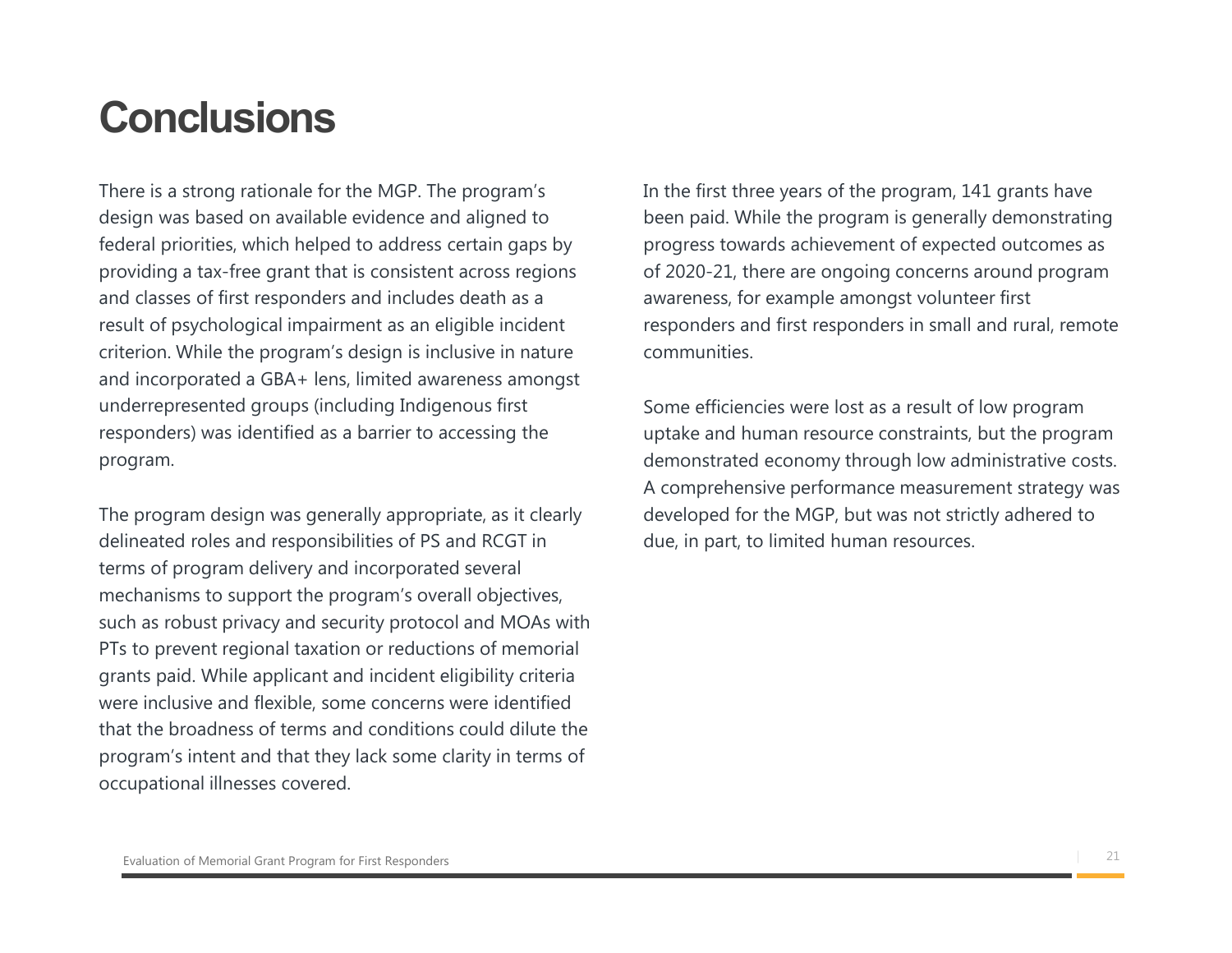### **Conclusions**

There is a strong rationale for the MGP. The program's design was based on available evidence and aligned to federal priorities, which helped to address certain gaps by providing a tax-free grant that is consistent across regions and classes of first responders and includes death as a result of psychological impairment as an eligible incident criterion. While the program's design is inclusive in nature and incorporated a GBA+ lens, limited awareness amongst underrepresented groups (including Indigenous first responders) was identified as a barrier to accessing the program.

The program design was generally appropriate, as it clearly delineated roles and responsibilities of PS and RCGT in terms of program delivery and incorporated several mechanisms to support the program's overall objectives, such as robust privacy and security protocol and MOAs with PTs to prevent regional taxation or reductions of memorial grants paid. While applicant and incident eligibility criteria were inclusive and flexible, some concerns were identified that the broadness of terms and conditions could dilute the program's intent and that they lack some clarity in terms of occupational illnesses covered.

In the first three years of the program, 141 grants have been paid. While the program is generally demonstrating progress towards achievement of expected outcomes as of 2020-21, there are ongoing concerns around program awareness, for example amongst volunteer first responders and first responders in small and rural, remote communities.

Some efficiencies were lost as a result of low program uptake and human resource constraints, but the program demonstrated economy through low administrative costs. A comprehensive performance measurement strategy was developed for the MGP, but was not strictly adhered to due, in part, to limited human resources.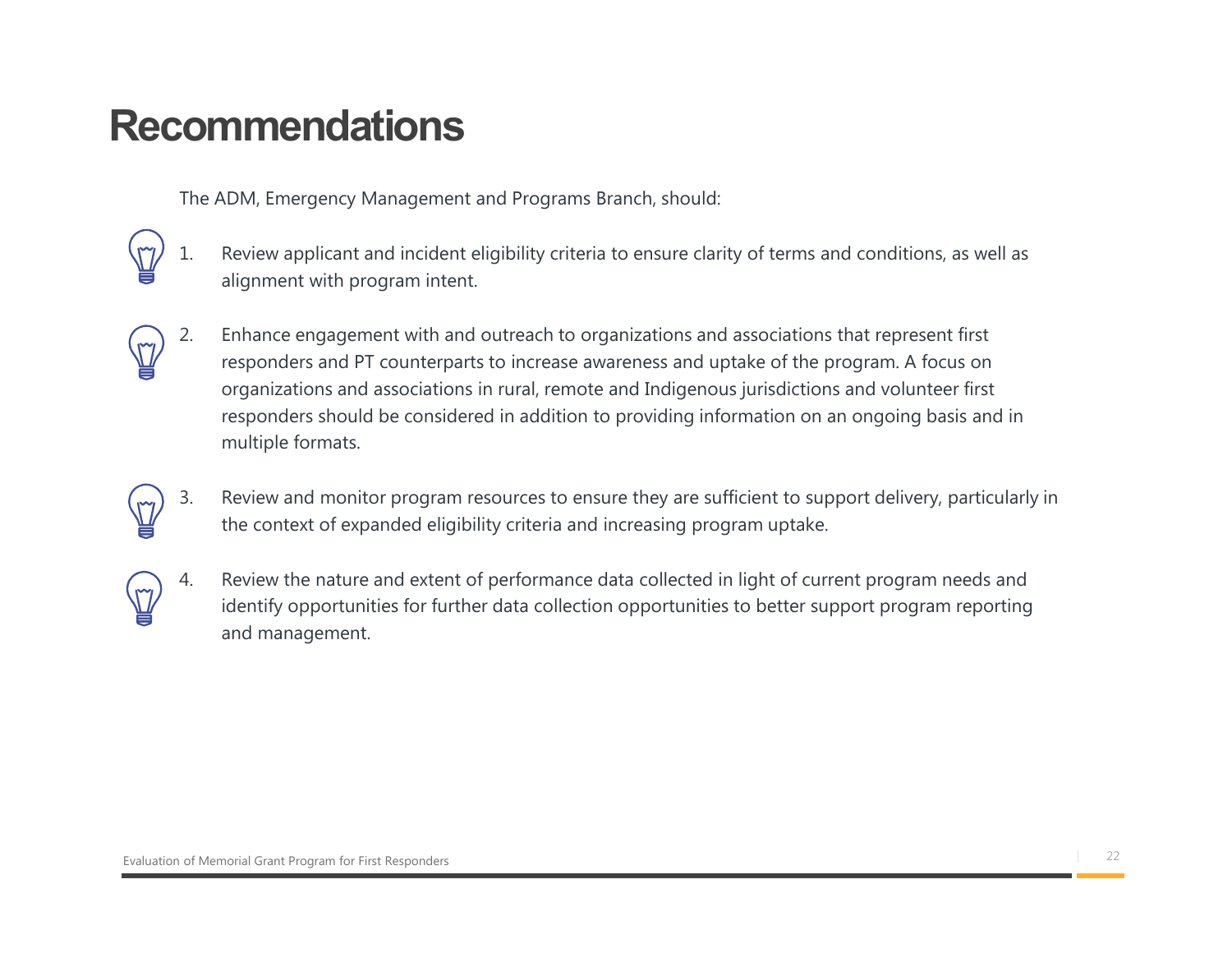## Recommendations

The ADM, Emergency Management and Programs Branch, should:

- alignment with program intent.
- 1. The ADM, Emergency Management and Programs Branch, should:<br>
1. Review applicant and incident eligibility criteria to ensure clarity of terms and conditions, as well as<br>
2. Enhance engagement with and outreach to organiz 2. The ADM, Emergency Management and Programs Branch, should:<br>
2. Review applicant and incident eligibility criteria to ensure clarity of terms and conditions, as well as<br>
2. Enhance engagement with and outreach to organiz responders and PT counterparts to increase awareness and uptake of the program. A focus on organizations and associations in rural, remote and Indigenous jurisdictions and volunteer first responders should be considered in addition to providing information on an ongoing basis and in multiple formats. The ADM, Emergency Management and Programs Branch, should:<br>
3. Review applicant and incident eligibility criteria to ensure clarity of terms and conditions, as well as<br>
3. Binameter with program intent.<br>
2. Enhance engagem 1. Review applicant and incident eligibility criteria to ensure clarity of terms and conditions, as well as alignment with program intent.<br>
2. Enhance engagement with and outreach to organizations and associations that rep
- the context of expanded eligibility criteria and increasing program uptake.
	- identify opportunities for further data collection opportunities to better support program reporting and management.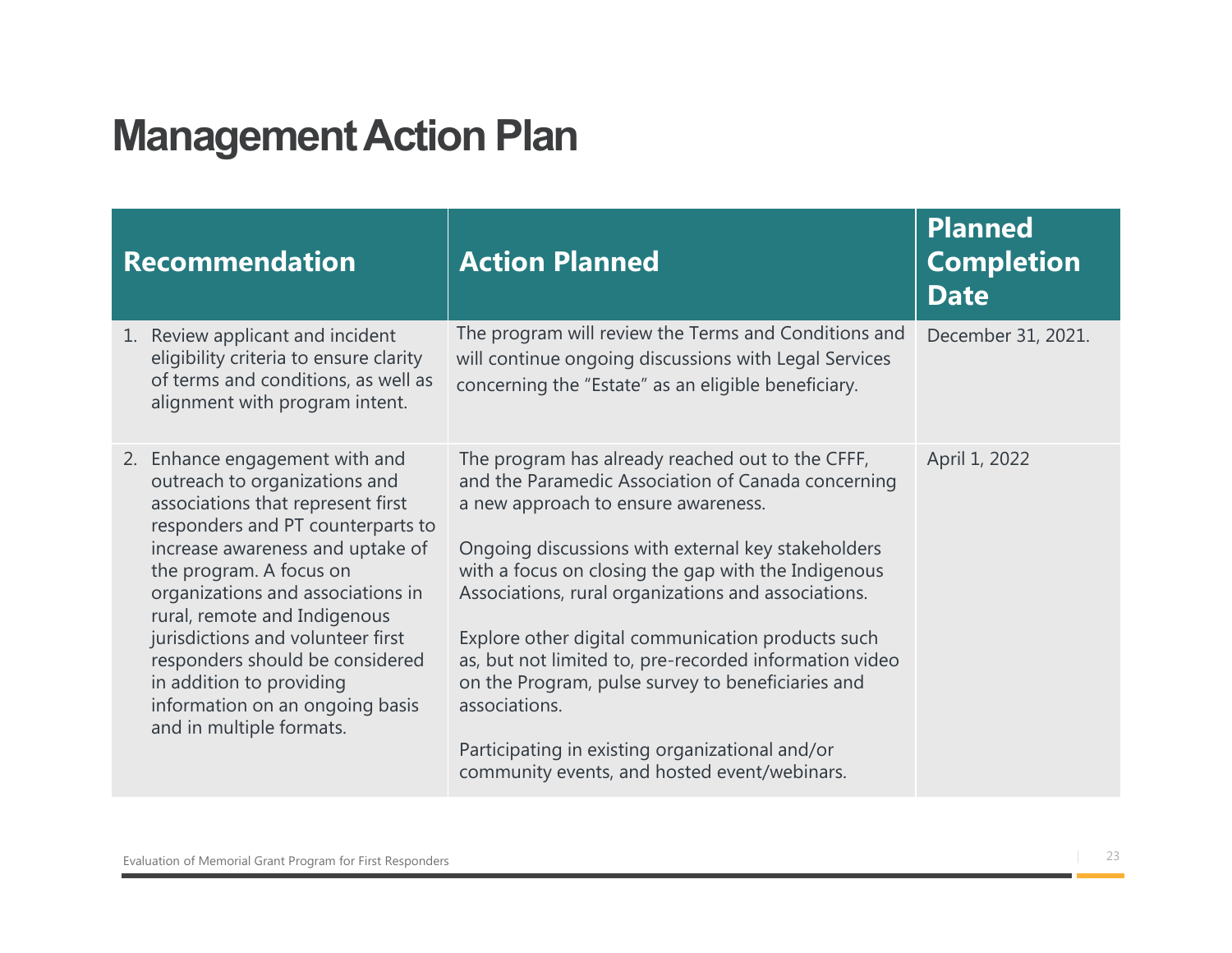## Management Action Plan

| <b>Management Action Plan</b>                                                                                                                                                                                                                                                                                                                                                                                                                    |                                                                                                                                                                                                                                                                                                                                                                                                                                                                                                                                                                                                           |                                                    |
|--------------------------------------------------------------------------------------------------------------------------------------------------------------------------------------------------------------------------------------------------------------------------------------------------------------------------------------------------------------------------------------------------------------------------------------------------|-----------------------------------------------------------------------------------------------------------------------------------------------------------------------------------------------------------------------------------------------------------------------------------------------------------------------------------------------------------------------------------------------------------------------------------------------------------------------------------------------------------------------------------------------------------------------------------------------------------|----------------------------------------------------|
| <b>Recommendation</b>                                                                                                                                                                                                                                                                                                                                                                                                                            | <b>Action Planned</b>                                                                                                                                                                                                                                                                                                                                                                                                                                                                                                                                                                                     | <b>Planned</b><br><b>Completion</b><br><b>Date</b> |
| 1. Review applicant and incident<br>eligibility criteria to ensure clarity<br>of terms and conditions, as well as<br>alignment with program intent.                                                                                                                                                                                                                                                                                              | The program will review the Terms and Conditions and<br>will continue ongoing discussions with Legal Services<br>concerning the "Estate" as an eligible beneficiary.                                                                                                                                                                                                                                                                                                                                                                                                                                      | December 31, 2021.                                 |
| 2. Enhance engagement with and<br>outreach to organizations and<br>associations that represent first<br>responders and PT counterparts to<br>increase awareness and uptake of<br>the program. A focus on<br>organizations and associations in<br>rural, remote and Indigenous<br>jurisdictions and volunteer first<br>responders should be considered<br>in addition to providing<br>information on an ongoing basis<br>and in multiple formats. | The program has already reached out to the CFFF,<br>and the Paramedic Association of Canada concerning<br>a new approach to ensure awareness.<br>Ongoing discussions with external key stakeholders<br>with a focus on closing the gap with the Indigenous<br>Associations, rural organizations and associations.<br>Explore other digital communication products such<br>as, but not limited to, pre-recorded information video<br>on the Program, pulse survey to beneficiaries and<br>associations.<br>Participating in existing organizational and/or<br>community events, and hosted event/webinars. | April 1, 2022                                      |